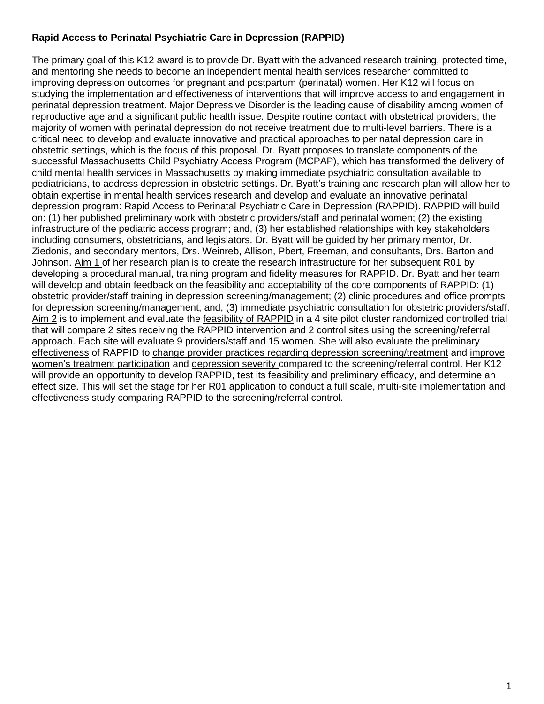# **Rapid Access to Perinatal Psychiatric Care in Depression (RAPPID)**

The primary goal of this K12 award is to provide Dr. Byatt with the advanced research training, protected time, and mentoring she needs to become an independent mental health services researcher committed to improving depression outcomes for pregnant and postpartum (perinatal) women. Her K12 will focus on studying the implementation and effectiveness of interventions that will improve access to and engagement in perinatal depression treatment. Major Depressive Disorder is the leading cause of disability among women of reproductive age and a significant public health issue. Despite routine contact with obstetrical providers, the majority of women with perinatal depression do not receive treatment due to multi-level barriers. There is a critical need to develop and evaluate innovative and practical approaches to perinatal depression care in obstetric settings, which is the focus of this proposal. Dr. Byatt proposes to translate components of the successful Massachusetts Child Psychiatry Access Program (MCPAP), which has transformed the delivery of child mental health services in Massachusetts by making immediate psychiatric consultation available to pediatricians, to address depression in obstetric settings. Dr. Byatt's training and research plan will allow her to obtain expertise in mental health services research and develop and evaluate an innovative perinatal depression program: Rapid Access to Perinatal Psychiatric Care in Depression (RAPPID). RAPPID will build on: (1) her published preliminary work with obstetric providers/staff and perinatal women; (2) the existing infrastructure of the pediatric access program; and, (3) her established relationships with key stakeholders including consumers, obstetricians, and legislators. Dr. Byatt will be guided by her primary mentor, Dr. Ziedonis, and secondary mentors, Drs. Weinreb, Allison, Pbert, Freeman, and consultants, Drs. Barton and Johnson. Aim 1 of her research plan is to create the research infrastructure for her subsequent R01 by developing a procedural manual, training program and fidelity measures for RAPPID. Dr. Byatt and her team will develop and obtain feedback on the feasibility and acceptability of the core components of RAPPID: (1) obstetric provider/staff training in depression screening/management; (2) clinic procedures and office prompts for depression screening/management; and, (3) immediate psychiatric consultation for obstetric providers/staff. Aim 2 is to implement and evaluate the feasibility of RAPPID in a 4 site pilot cluster randomized controlled trial that will compare 2 sites receiving the RAPPID intervention and 2 control sites using the screening/referral approach. Each site will evaluate 9 providers/staff and 15 women. She will also evaluate the preliminary effectiveness of RAPPID to change provider practices regarding depression screening/treatment and improve women's treatment participation and depression severity compared to the screening/referral control. Her K12 will provide an opportunity to develop RAPPID, test its feasibility and preliminary efficacy, and determine an effect size. This will set the stage for her R01 application to conduct a full scale, multi-site implementation and effectiveness study comparing RAPPID to the screening/referral control.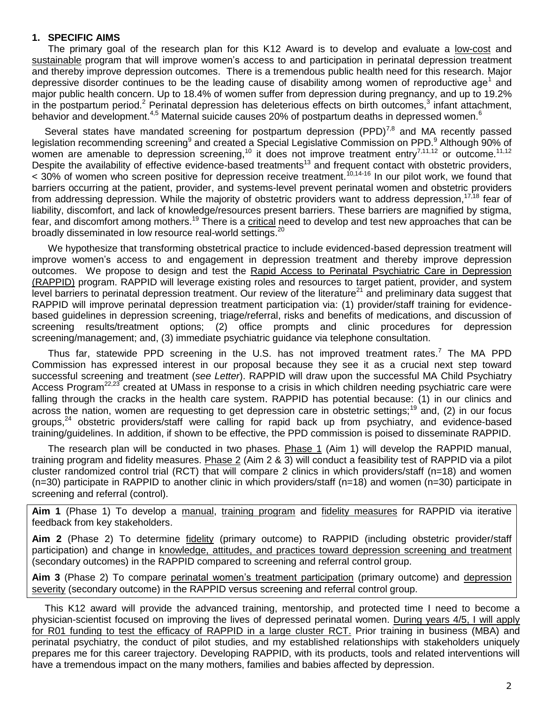### **1. SPECIFIC AIMS**

The primary goal of the research plan for this K12 Award is to develop and evaluate a low-cost and sustainable program that will improve women's access to and participation in perinatal depression treatment and thereby improve depression outcomes. There is a tremendous public health need for this research. Major d[e](#page-16-0)pressive disorder continues to be the leading cause of disability among women of reproductive age<sup>1</sup> and major public health concern. Up to 18.4% of women suffer from depression during pregnancy, and up to 19.2% in the postpartum period.<sup>[2](#page-16-1)</sup> Perinatal depression has deleterious effects on birth outcomes,<sup>[3](#page-16-2)</sup> infant attachment, behavior and development.<sup>[4,](#page-16-3)[5](#page-16-4)</sup> Maternal suicide causes 20% of postpartum deaths in depressed women[.](#page-16-5)<sup>6</sup>

Several states have mandated screening for postpartum depression (PPD) $^{7,8}$  $^{7,8}$  $^{7,8}$  $^{7,8}$  and MA recently passed le[g](#page-16-8)islation recommending screening<sup>[9](#page-16-8)</sup> and created a Special Legislative Commission on PPD.<sup>9</sup> Although 90% of women are amenable to depression screening,<sup>[10](#page-16-9)</sup> it does not improve treatment entry<sup>[7,](#page-16-6)[11](#page-16-10)[,12](#page-16-11)</sup> or outcome.<sup>[11,](#page-16-10)[12](#page-16-11)</sup> Despite the availability of effective evidence-based treatments<sup>[13](#page-16-12)</sup> and frequent contact with obstetric providers,  $\sim$  30% of women who screen positive for depression receive treatment.<sup>[10,](#page-16-9)[14-16](#page-16-13)</sup> In our pilot work, we found that barriers occurring at the patient, provider, and systems-level prevent perinatal women and obstetric providers from addressing depression. While the majority of obstetric providers want to address depression,<sup>[17](#page-16-14)[,18](#page-16-15)</sup> fear of liability, discomfort, and lack of knowledge/resources present barriers. These barriers are magnified by stigma, fear, and discomfort among mothers.<sup>[19](#page-16-16)</sup> There is a critical need to develop and test new approaches that can be broadly disseminated in low resource real-world settings.<sup>[20](#page-16-17)</sup>

We hypothesize that transforming obstetrical practice to include evidenced-based depression treatment will improve women's access to and engagement in depression treatment and thereby improve depression outcomes. We propose to design and test the Rapid Access to Perinatal Psychiatric Care in Depression (RAPPID) program. RAPPID will leverage existing roles and resources to target patient, provider, and system level barriers to perinatal depression treatment. Our review of the literature<sup>[21](#page-16-18)</sup> and preliminary data suggest that RAPPID will improve perinatal depression treatment participation via: (1) provider/staff training for evidencebased guidelines in depression screening, triage/referral, risks and benefits of medications, and discussion of screening results/treatment options; (2) office prompts and clinic procedures for depression screening/management; and, (3) immediate psychiatric guidance via telephone consultation.

Thus far, statewide PPD screening in the U.S. has not improved treatment rates.<sup>[7](#page-16-6)</sup> The MA PPD Commission has expressed interest in our proposal because they see it as a crucial next step toward successful screening and treatment (*see Letter*). RAPPID will draw upon the successful MA Child Psychiatry Access Program<sup>[22](#page-16-19)[,23](#page-16-20)</sup> created at UMass in response to a crisis in which children needing psychiatric care were falling through the cracks in the health care system. RAPPID has potential because: (1) in our clinics and across the nation, women are requesting to get depression care in obstetric settings;<sup>[19](#page-16-16)</sup> and, (2) in our focus groups,<sup>[24](#page-17-0)</sup> obstetric providers/staff were calling for rapid back up from psychiatry, and evidence-based training/guidelines. In addition, if shown to be effective, the PPD commission is poised to disseminate RAPPID.

The research plan will be conducted in two phases. Phase 1 (Aim 1) will develop the RAPPID manual, training program and fidelity measures. Phase 2 (Aim 2 & 3) will conduct a feasibility test of RAPPID via a pilot cluster randomized control trial (RCT) that will compare 2 clinics in which providers/staff (n=18) and women (n=30) participate in RAPPID to another clinic in which providers/staff (n=18) and women (n=30) participate in screening and referral (control).

**Aim 1** (Phase 1) To develop a manual, training program and fidelity measures for RAPPID via iterative feedback from key stakeholders.

**Aim 2** (Phase 2) To determine fidelity (primary outcome) to RAPPID (including obstetric provider/staff participation) and change in knowledge, attitudes, and practices toward depression screening and treatment (secondary outcomes) in the RAPPID compared to screening and referral control group.

**Aim 3** (Phase 2) To compare perinatal women's treatment participation (primary outcome) and depression severity (secondary outcome) in the RAPPID versus screening and referral control group.

This K12 award will provide the advanced training, mentorship, and protected time I need to become a physician-scientist focused on improving the lives of depressed perinatal women. During years 4/5, I will apply for R01 funding to test the efficacy of RAPPID in a large cluster RCT. Prior training in business (MBA) and perinatal psychiatry, the conduct of pilot studies, and my established relationships with stakeholders uniquely prepares me for this career trajectory. Developing RAPPID, with its products, tools and related interventions will have a tremendous impact on the many mothers, families and babies affected by depression.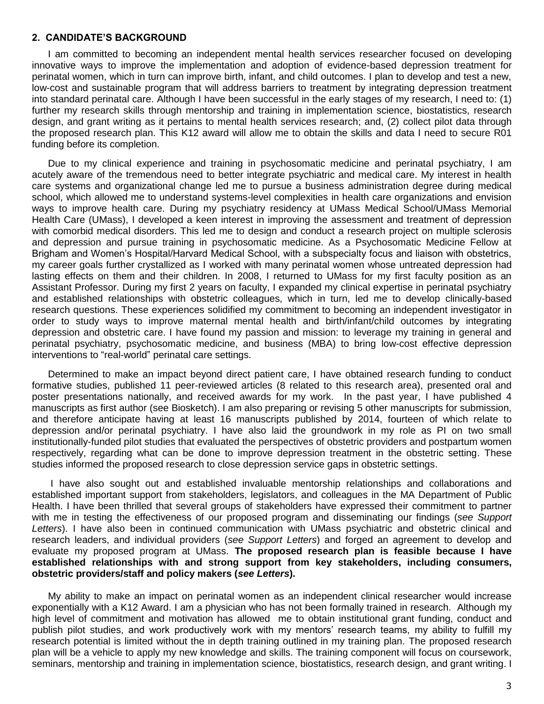#### **2. CANDIDATE'S BACKGROUND**

I am committed to becoming an independent mental health services researcher focused on developing innovative ways to improve the implementation and adoption of evidence-based depression treatment for perinatal women, which in turn can improve birth, infant, and child outcomes. I plan to develop and test a new, low-cost and sustainable program that will address barriers to treatment by integrating depression treatment into standard perinatal care. Although I have been successful in the early stages of my research, I need to: (1) further my research skills through mentorship and training in implementation science, biostatistics, research design, and grant writing as it pertains to mental health services research; and, (2) collect pilot data through the proposed research plan. This K12 award will allow me to obtain the skills and data I need to secure R01 funding before its completion.

Due to my clinical experience and training in psychosomatic medicine and perinatal psychiatry, I am acutely aware of the tremendous need to better integrate psychiatric and medical care. My interest in health care systems and organizational change led me to pursue a business administration degree during medical school, which allowed me to understand systems-level complexities in health care organizations and envision ways to improve health care. During my psychiatry residency at UMass Medical School/UMass Memorial Health Care (UMass), I developed a keen interest in improving the assessment and treatment of depression with comorbid medical disorders. This led me to design and conduct a research project on multiple sclerosis and depression and pursue training in psychosomatic medicine. As a Psychosomatic Medicine Fellow at Brigham and Women's Hospital/Harvard Medical School, with a subspecialty focus and liaison with obstetrics, my career goals further crystallized as I worked with many perinatal women whose untreated depression had lasting effects on them and their children. In 2008, I returned to UMass for my first faculty position as an Assistant Professor. During my first 2 years on faculty, I expanded my clinical expertise in perinatal psychiatry and established relationships with obstetric colleagues, which in turn, led me to develop clinically-based research questions. These experiences solidified my commitment to becoming an independent investigator in order to study ways to improve maternal mental health and birth/infant/child outcomes by integrating depression and obstetric care. I have found my passion and mission: to leverage my training in general and perinatal psychiatry, psychosomatic medicine, and business (MBA) to bring low-cost effective depression interventions to "real-world" perinatal care settings.

Determined to make an impact beyond direct patient care, I have obtained research funding to conduct formative studies, published 11 peer-reviewed articles (8 related to this research area), presented oral and poster presentations nationally, and received awards for my work. In the past year, I have published 4 manuscripts as first author (see Biosketch). I am also preparing or revising 5 other manuscripts for submission, and therefore anticipate having at least 16 manuscripts published by 2014, fourteen of which relate to depression and/or perinatal psychiatry. I have also laid the groundwork in my role as PI on two small institutionally-funded pilot studies that evaluated the perspectives of obstetric providers and postpartum women respectively, regarding what can be done to improve depression treatment in the obstetric setting. These studies informed the proposed research to close depression service gaps in obstetric settings.

I have also sought out and established invaluable mentorship relationships and collaborations and established important support from stakeholders, legislators, and colleagues in the MA Department of Public Health. I have been thrilled that several groups of stakeholders have expressed their commitment to partner with me in testing the effectiveness of our proposed program and disseminating our findings (*see Support Letters*). I have also been in continued communication with UMass psychiatric and obstetric clinical and research leaders, and individual providers (*see Support Letters*) and forged an agreement to develop and evaluate my proposed program at UMass. **The proposed research plan is feasible because I have established relationships with and strong support from key stakeholders, including consumers, obstetric providers/staff and policy makers (***see Letters***).**

My ability to make an impact on perinatal women as an independent clinical researcher would increase exponentially with a K12 Award. I am a physician who has not been formally trained in research. Although my high level of commitment and motivation has allowed me to obtain institutional grant funding, conduct and publish pilot studies, and work productively work with my mentors' research teams, my ability to fulfill my research potential is limited without the in depth training outlined in my training plan. The proposed research plan will be a vehicle to apply my new knowledge and skills. The training component will focus on coursework, seminars, mentorship and training in implementation science, biostatistics, research design, and grant writing. I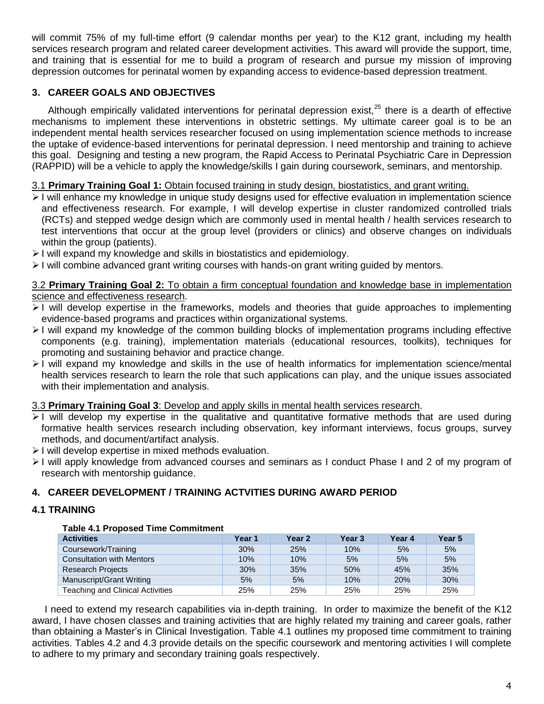will commit 75% of my full-time effort (9 calendar months per year) to the K12 grant, including my health services research program and related career development activities. This award will provide the support, time, and training that is essential for me to build a program of research and pursue my mission of improving depression outcomes for perinatal women by expanding access to evidence-based depression treatment.

# **3. CAREER GOALS AND OBJECTIVES**

Although empirically validated interventions for perinatal depression exist, $25$  there is a dearth of effective mechanisms to implement these interventions in obstetric settings. My ultimate career goal is to be an independent mental health services researcher focused on using implementation science methods to increase the uptake of evidence-based interventions for perinatal depression. I need mentorship and training to achieve this goal. Designing and testing a new program, the Rapid Access to Perinatal Psychiatric Care in Depression (RAPPID) will be a vehicle to apply the knowledge/skills I gain during coursework, seminars, and mentorship.

# 3.1 **Primary Training Goal 1:** Obtain focused training in study design, biostatistics, and grant writing.

- I will enhance my knowledge in unique study designs used for effective evaluation in implementation science and effectiveness research. For example, I will develop expertise in cluster randomized controlled trials (RCTs) and stepped wedge design which are commonly used in mental health / health services research to test interventions that occur at the group level (providers or clinics) and observe changes on individuals within the group (patients).
- $\geq$  I will expand my knowledge and skills in biostatistics and epidemiology.
- $\geq$  I will combine advanced grant writing courses with hands-on grant writing guided by mentors.

### 3.2 **Primary Training Goal 2:** To obtain a firm conceptual foundation and knowledge base in implementation science and effectiveness research.

- $\geq$  I will develop expertise in the frameworks, models and theories that quide approaches to implementing evidence-based programs and practices within organizational systems.
- $\geq$  I will expand my knowledge of the common building blocks of implementation programs including effective components (e.g. training), implementation materials (educational resources, toolkits), techniques for promoting and sustaining behavior and practice change.
- $\geq$  I will expand my knowledge and skills in the use of health informatics for implementation science/mental health services research to learn the role that such applications can play, and the unique issues associated with their implementation and analysis.

# 3.3 **Primary Training Goal 3**: Develop and apply skills in mental health services research.

- $\geq$  I will develop my expertise in the qualitative and quantitative formative methods that are used during formative health services research including observation, key informant interviews, focus groups, survey methods, and document/artifact analysis.
- $\triangleright$  I will develop expertise in mixed methods evaluation.
- $\geq$  I will apply knowledge from advanced courses and seminars as I conduct Phase I and 2 of my program of research with mentorship guidance.

# **4. CAREER DEVELOPMENT / TRAINING ACTVITIES DURING AWARD PERIOD**

# **4.1 TRAINING**

#### **Table 4.1 Proposed Time Commitment**

| <b>Activities</b>                | Year 1 | Year <sub>2</sub> | Year <sub>3</sub> | Year 4 | Year <sub>5</sub> |
|----------------------------------|--------|-------------------|-------------------|--------|-------------------|
| Coursework/Training              | 30%    | 25%               | 10%               | 5%     | 5%                |
| <b>Consultation with Mentors</b> | 10%    | 10%               | 5%                | 5%     | 5%                |
| <b>Research Projects</b>         | 30%    | 35%               | 50%               | 45%    | 35%               |
| Manuscript/Grant Writing         | 5%     | 5%                | 10%               | 20%    | 30%               |
| Teaching and Clinical Activities | 25%    | 25%               | 25%               | 25%    | 25%               |

I need to extend my research capabilities via in-depth training. In order to maximize the benefit of the K12 award, I have chosen classes and training activities that are highly related my training and career goals, rather than obtaining a Master's in Clinical Investigation. Table 4.1 outlines my proposed time commitment to training activities. Tables 4.2 and 4.3 provide details on the specific coursework and mentoring activities I will complete to adhere to my primary and secondary training goals respectively.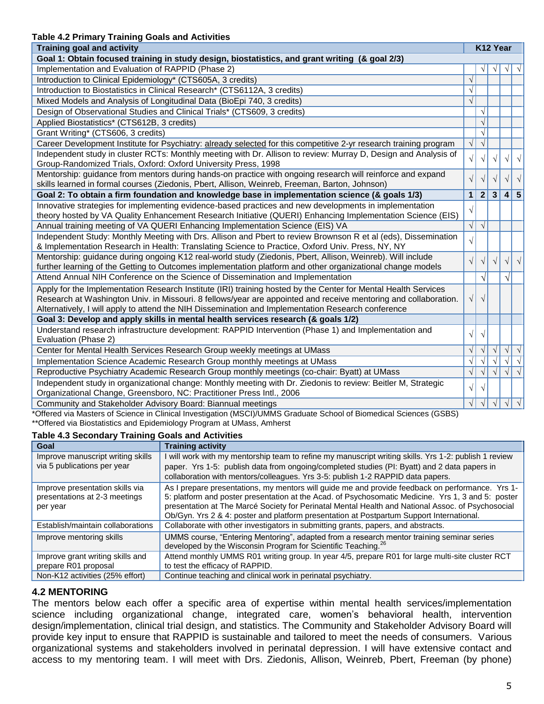#### **Table 4.2 Primary Training Goals and Activities**

| apic +.2   Innary Training Obais and Abuvius<br><b>Training goal and activity</b>                                                                                                                                                                                                                                                                                                                 |              | K12 Year       |            |            |                               |
|---------------------------------------------------------------------------------------------------------------------------------------------------------------------------------------------------------------------------------------------------------------------------------------------------------------------------------------------------------------------------------------------------|--------------|----------------|------------|------------|-------------------------------|
| Goal 1: Obtain focused training in study design, biostatistics, and grant writing (& goal 2/3)                                                                                                                                                                                                                                                                                                    |              |                |            |            |                               |
| Implementation and Evaluation of RAPPID (Phase 2)                                                                                                                                                                                                                                                                                                                                                 |              |                |            |            |                               |
| Introduction to Clinical Epidemiology* (CTS605A, 3 credits)                                                                                                                                                                                                                                                                                                                                       | $\sqrt{}$    |                |            |            |                               |
| Introduction to Biostatistics in Clinical Research* (CTS6112A, 3 credits)                                                                                                                                                                                                                                                                                                                         | $\sqrt{}$    |                |            |            |                               |
| Mixed Models and Analysis of Longitudinal Data (BioEpi 740, 3 credits)                                                                                                                                                                                                                                                                                                                            | $\sqrt{}$    |                |            |            |                               |
| Design of Observational Studies and Clinical Trials* (CTS609, 3 credits)                                                                                                                                                                                                                                                                                                                          |              | $\sqrt{}$      |            |            |                               |
| Applied Biostatistics* (CTS612B, 3 credits)                                                                                                                                                                                                                                                                                                                                                       |              | $\sqrt{}$      |            |            |                               |
| Grant Writing* (CTS606, 3 credits)                                                                                                                                                                                                                                                                                                                                                                |              | $\sqrt{}$      |            |            |                               |
| Career Development Institute for Psychiatry: already selected for this competitive 2-yr research training program                                                                                                                                                                                                                                                                                 | $\sqrt{}$    | $\sqrt{}$      |            |            |                               |
| Independent study in cluster RCTs: Monthly meeting with Dr. Allison to review: Murray D, Design and Analysis of                                                                                                                                                                                                                                                                                   | $\sqrt{2}$   | $\sqrt{ }$     |            | V          |                               |
| Group-Randomized Trials, Oxford: Oxford University Press, 1998                                                                                                                                                                                                                                                                                                                                    |              |                |            |            |                               |
| Mentorship: guidance from mentors during hands-on practice with ongoing research will reinforce and expand                                                                                                                                                                                                                                                                                        | $\sqrt{ }$   |                |            |            |                               |
| skills learned in formal courses (Ziedonis, Pbert, Allison, Weinreb, Freeman, Barton, Johnson)                                                                                                                                                                                                                                                                                                    |              |                |            |            |                               |
| Goal 2: To obtain a firm foundation and knowledge base in implementation science (& goals 1/3)                                                                                                                                                                                                                                                                                                    | $\mathbf{1}$ | $\overline{2}$ | 3          | 4          | $\overline{\mathbf{5}}$       |
| Innovative strategies for implementing evidence-based practices and new developments in implementation                                                                                                                                                                                                                                                                                            | $\sqrt{}$    |                |            |            |                               |
| theory hosted by VA Quality Enhancement Research Initiative (QUERI) Enhancing Implementation Science (EIS)                                                                                                                                                                                                                                                                                        |              |                |            |            |                               |
| Annual training meeting of VA QUERI Enhancing Implementation Science (EIS) VA                                                                                                                                                                                                                                                                                                                     | $\sqrt{}$    | $\sqrt{}$      |            |            |                               |
| Independent Study: Monthly Meeting with Drs. Allison and Pbert to review Brownson R et al (eds), Dissemination<br>& Implementation Research in Health: Translating Science to Practice, Oxford Univ. Press, NY, NY                                                                                                                                                                                | $\sqrt{}$    |                |            |            |                               |
| Mentorship: guidance during ongoing K12 real-world study (Ziedonis, Pbert, Allison, Weinreb). Will include                                                                                                                                                                                                                                                                                        |              |                |            |            |                               |
| further learning of the Getting to Outcomes implementation platform and other organizational change models                                                                                                                                                                                                                                                                                        | $\sqrt{}$    |                | V          | $\sqrt{}$  | $\sqrt{ }$                    |
| Attend Annual NIH Conference on the Science of Dissemination and Implementation                                                                                                                                                                                                                                                                                                                   |              | $\sqrt{}$      |            | $\sqrt{ }$ |                               |
| Apply for the Implementation Research Institute (IRI) training hosted by the Center for Mental Health Services                                                                                                                                                                                                                                                                                    |              |                |            |            |                               |
| Research at Washington Univ. in Missouri. 8 fellows/year are appointed and receive mentoring and collaboration.                                                                                                                                                                                                                                                                                   | $\sqrt{ }$   | $\sqrt{ }$     |            |            |                               |
| Alternatively, I will apply to attend the NIH Dissemination and Implementation Research conference                                                                                                                                                                                                                                                                                                |              |                |            |            |                               |
| Goal 3: Develop and apply skills in mental health services research (& goals 1/2)                                                                                                                                                                                                                                                                                                                 |              |                |            |            |                               |
| Understand research infrastructure development: RAPPID Intervention (Phase 1) and Implementation and                                                                                                                                                                                                                                                                                              | $\sqrt{}$    | $\sqrt{ }$     |            |            |                               |
| Evaluation (Phase 2)                                                                                                                                                                                                                                                                                                                                                                              |              |                |            |            |                               |
| Center for Mental Health Services Research Group weekly meetings at UMass                                                                                                                                                                                                                                                                                                                         | $\sqrt{}$    |                | $\sqrt{ }$ |            | $\sqrt{ \sqrt{25} \sqrt{25}}$ |
| Implementation Science Academic Research Group monthly meetings at UMass                                                                                                                                                                                                                                                                                                                          | $\sqrt{}$    |                |            | $\sqrt{}$  | $\overline{\sqrt{2}}$         |
| Reproductive Psychiatry Academic Research Group monthly meetings (co-chair: Byatt) at UMass                                                                                                                                                                                                                                                                                                       | $\sqrt{}$    | $\sqrt{}$      | $\sqrt{ }$ | $\sqrt{ }$ | $\sqrt{}$                     |
| Independent study in organizational change: Monthly meeting with Dr. Ziedonis to review: Beitler M, Strategic                                                                                                                                                                                                                                                                                     | $\sqrt{}$    | $\sqrt{}$      |            |            |                               |
| Organizational Change, Greensboro, NC: Practitioner Press Intl., 2006                                                                                                                                                                                                                                                                                                                             |              |                |            |            |                               |
| Community and Stakeholder Advisory Board: Biannual meetings<br>$\mathbf{A}$ $\mathbf{A}$ $\mathbf{A}$ $\mathbf{A}$ $\mathbf{A}$ $\mathbf{A}$ $\mathbf{A}$ $\mathbf{A}$ $\mathbf{A}$ $\mathbf{A}$ $\mathbf{A}$ $\mathbf{A}$ $\mathbf{A}$ $\mathbf{A}$ $\mathbf{A}$ $\mathbf{A}$ $\mathbf{A}$ $\mathbf{A}$ $\mathbf{A}$ $\mathbf{A}$ $\mathbf{A}$ $\mathbf{A}$ $\mathbf{A}$ $\mathbf{A}$ $\mathbf{$ | $\sqrt{}$    | $\sqrt{}$      | $\sqrt{ }$ | $\sqrt{ }$ | $\sqrt{ }$                    |

\*Offered via Masters of Science in Clinical Investigation (MSCI)/UMMS Graduate School of Biomedical Sciences (GSBS) \*\*Offered via Biostatistics and Epidemiology Program at UMass, Amherst

#### **Table 4.3 Secondary Training Goals and Activities**

| Goal                                                                         | <b>Training activity</b>                                                                                                                                                                                                                                                                                                                                                                                |
|------------------------------------------------------------------------------|---------------------------------------------------------------------------------------------------------------------------------------------------------------------------------------------------------------------------------------------------------------------------------------------------------------------------------------------------------------------------------------------------------|
| Improve manuscript writing skills                                            | I will work with my mentorship team to refine my manuscript writing skills. Yrs 1-2: publish 1 review                                                                                                                                                                                                                                                                                                   |
| via 5 publications per year                                                  | paper. Yrs 1-5: publish data from ongoing/completed studies (PI: Byatt) and 2 data papers in                                                                                                                                                                                                                                                                                                            |
|                                                                              | collaboration with mentors/colleagues. Yrs 3-5: publish 1-2 RAPPID data papers.                                                                                                                                                                                                                                                                                                                         |
| Improve presentation skills via<br>presentations at 2-3 meetings<br>per year | As I prepare presentations, my mentors will guide me and provide feedback on performance. Yrs 1-<br>5: platform and poster presentation at the Acad. of Psychosomatic Medicine. Yrs 1, 3 and 5: poster<br>presentation at The Marcé Society for Perinatal Mental Health and National Assoc. of Psychosocial<br>Ob/Gyn. Yrs 2 & 4: poster and platform presentation at Postpartum Support International. |
| Establish/maintain collaborations                                            | Collaborate with other investigators in submitting grants, papers, and abstracts.                                                                                                                                                                                                                                                                                                                       |
| Improve mentoring skills                                                     | UMMS course, "Entering Mentoring", adapted from a research mentor training seminar series<br>developed by the Wisconsin Program for Scientific Teaching. <sup>26</sup>                                                                                                                                                                                                                                  |
| Improve grant writing skills and<br>prepare R01 proposal                     | Attend monthly UMMS R01 writing group. In year 4/5, prepare R01 for large multi-site cluster RCT<br>to test the efficacy of RAPPID.                                                                                                                                                                                                                                                                     |
| Non-K12 activities (25% effort)                                              | Continue teaching and clinical work in perinatal psychiatry.                                                                                                                                                                                                                                                                                                                                            |

# **4.2 MENTORING**

The mentors below each offer a specific area of expertise within mental health services/implementation science including organizational change, integrated care, women's behavioral health, intervention design/implementation, clinical trial design, and statistics. The Community and Stakeholder Advisory Board will provide key input to ensure that RAPPID is sustainable and tailored to meet the needs of consumers. Various organizational systems and stakeholders involved in perinatal depression. I will have extensive contact and access to my mentoring team. I will meet with Drs. Ziedonis, Allison, Weinreb, Pbert, Freeman (by phone)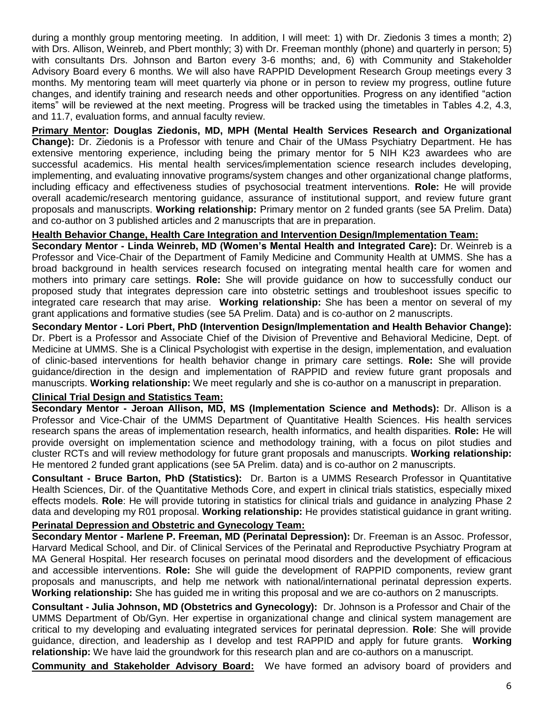during a monthly group mentoring meeting. In addition, I will meet: 1) with Dr. Ziedonis 3 times a month; 2) with Drs. Allison, Weinreb, and Pbert monthly; 3) with Dr. Freeman monthly (phone) and quarterly in person; 5) with consultants Drs. Johnson and Barton every 3-6 months; and, 6) with Community and Stakeholder Advisory Board every 6 months. We will also have RAPPID Development Research Group meetings every 3 months. My mentoring team will meet quarterly via phone or in person to review my progress, outline future changes, and identify training and research needs and other opportunities. Progress on any identified "action items" will be reviewed at the next meeting. Progress will be tracked using the timetables in Tables 4.2, 4.3, and 11.7, evaluation forms, and annual faculty review.

**Primary Mentor: Douglas Ziedonis, MD, MPH (Mental Health Services Research and Organizational Change):** Dr. Ziedonis is a Professor with tenure and Chair of the UMass Psychiatry Department. He has extensive mentoring experience, including being the primary mentor for 5 NIH K23 awardees who are successful academics. His mental health services/implementation science research includes developing, implementing, and evaluating innovative programs/system changes and other organizational change platforms, including efficacy and effectiveness studies of psychosocial treatment interventions. **Role:** He will provide overall academic/research mentoring guidance, assurance of institutional support, and review future grant proposals and manuscripts. **Working relationship:** Primary mentor on 2 funded grants (see 5A Prelim. Data) and co-author on 3 published articles and 2 manuscripts that are in preparation.

# **Health Behavior Change, Health Care Integration and Intervention Design/Implementation Team:**

**Secondary Mentor - Linda Weinreb, MD (Women's Mental Health and Integrated Care):** Dr. Weinreb is a Professor and Vice-Chair of the Department of Family Medicine and Community Health at UMMS. She has a broad background in health services research focused on integrating mental health care for women and mothers into primary care settings. **Role:** She will provide guidance on how to successfully conduct our proposed study that integrates depression care into obstetric settings and troubleshoot issues specific to integrated care research that may arise. **Working relationship:** She has been a mentor on several of my grant applications and formative studies (see 5A Prelim. Data) and is co-author on 2 manuscripts.

**Secondary Mentor - Lori Pbert, PhD (Intervention Design/Implementation and Health Behavior Change):**  Dr. Pbert is a Professor and Associate Chief of the Division of Preventive and Behavioral Medicine, Dept. of Medicine at UMMS. She is a Clinical Psychologist with expertise in the design, implementation, and evaluation of clinic-based interventions for health behavior change in primary care settings. **Role:** She will provide guidance/direction in the design and implementation of RAPPID and review future grant proposals and manuscripts. **Working relationship:** We meet regularly and she is co-author on a manuscript in preparation.

# **Clinical Trial Design and Statistics Team:**

**Secondary Mentor - Jeroan Allison, MD, MS (Implementation Science and Methods):** Dr. Allison is a Professor and Vice-Chair of the UMMS Department of Quantitative Health Sciences. His health services research spans the areas of implementation research, health informatics, and health disparities. **Role:** He will provide oversight on implementation science and methodology training, with a focus on pilot studies and cluster RCTs and will review methodology for future grant proposals and manuscripts. **Working relationship:**  He mentored 2 funded grant applications (see 5A Prelim. data) and is co-author on 2 manuscripts.

**Consultant - Bruce Barton, PhD (Statistics):** Dr. Barton is a UMMS Research Professor in Quantitative Health Sciences, Dir. of the Quantitative Methods Core, and expert in clinical trials statistics, especially mixed effects models. **Role**: He will provide tutoring in statistics for clinical trials and guidance in analyzing Phase 2 data and developing my R01 proposal. **Working relationship:** He provides statistical guidance in grant writing.

# **Perinatal Depression and Obstetric and Gynecology Team:**

**Secondary Mentor - Marlene P. Freeman, MD (Perinatal Depression):** Dr. Freeman is an Assoc. Professor, Harvard Medical School, and Dir. of Clinical Services of the Perinatal and Reproductive Psychiatry Program at MA General Hospital. Her research focuses on perinatal mood disorders and the development of efficacious and accessible interventions. **Role:** She will guide the development of RAPPID components, review grant proposals and manuscripts, and help me network with national/international perinatal depression experts. **Working relationship:** She has guided me in writing this proposal and we are co-authors on 2 manuscripts.

**Consultant - Julia Johnson, MD (Obstetrics and Gynecology):** Dr. Johnson is a Professor and Chair of the UMMS Department of Ob/Gyn. Her expertise in organizational change and clinical system management are critical to my developing and evaluating integrated services for perinatal depression. **Role**: She will provide guidance, direction, and leadership as I develop and test RAPPID and apply for future grants. **Working relationship:** We have laid the groundwork for this research plan and are co-authors on a manuscript.

**Community and Stakeholder Advisory Board:** We have formed an advisory board of providers and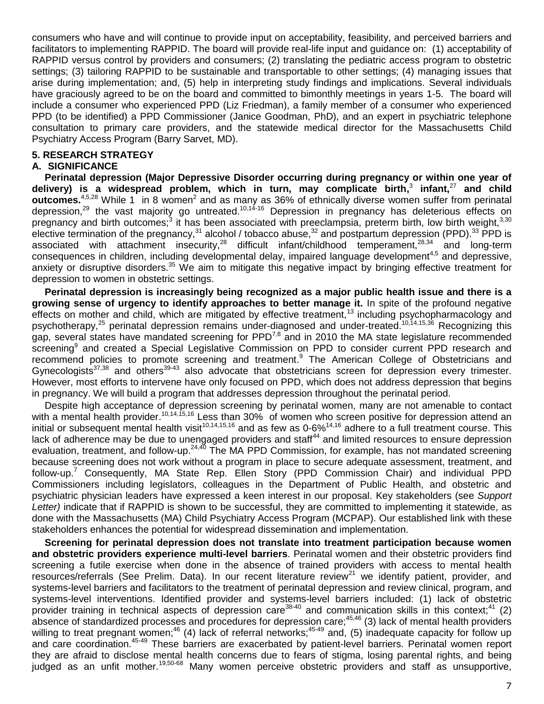consumers who have and will continue to provide input on acceptability, feasibility, and perceived barriers and facilitators to implementing RAPPID. The board will provide real-life input and guidance on: (1) acceptability of RAPPID versus control by providers and consumers; (2) translating the pediatric access program to obstetric settings; (3) tailoring RAPPID to be sustainable and transportable to other settings; (4) managing issues that arise during implementation; and, (5) help in interpreting study findings and implications. Several individuals have graciously agreed to be on the board and committed to bimonthly meetings in years 1-5. The board will include a consumer who experienced PPD (Liz Friedman), a family member of a consumer who experienced PPD (to be identified) a PPD Commissioner (Janice Goodman, PhD), and an expert in psychiatric telephone consultation to primary care providers, and the statewide medical director for the Massachusetts Child Psychiatry Access Program (Barry Sarvet, MD).

### **5. RESEARCH STRATEGY**

#### **A. SIGNIFICANCE**

**Perinatal depression (Major Depressive Disorder occurring during pregnancy or within one year of delivery) is a widespread problem, which in turn, may complicate birth[,](#page-16-2)** 3 **infant,**[27](#page-17-3) **and child**  outcomes.<sup>[4,](#page-16-3)[5,](#page-16-4)[28](#page-17-4)</sup> While 1 i[n](#page-16-1) 8 women<sup>2</sup> and as many as 36% of ethnically diverse women suffer from perinatal depression,[29](#page-17-5) the vast majority go untreated.[10,](#page-16-9)[14-16](#page-16-13) Depression in pregnancy has deleterious effects on pregnancy and birth outcomes;<sup>[3](#page-16-2)</sup> it has been associated with preeclampsia, preterm birth, low birth weight,<sup>[3,](#page-16-2)[30](#page-17-6)</sup> elective termination of the pregnancy,<sup>[31](#page-17-7)</sup> alcohol / tobacco abuse,<sup>[32](#page-17-8)</sup> and postpartum depression (PPD).<sup>[33](#page-17-9)</sup> PPD is associated with attachment insecurity,  $28$  difficult infant/childhood temperament,  $28,34$  $28,34$  and long-term consequences in children, including developmental delay, impaired language development<sup>[4,](#page-16-3)[5](#page-16-4)</sup> and depressive, anxiety or disruptive disorders.<sup>[35](#page-17-11)</sup> We aim to mitigate this negative impact by bringing effective treatment for depression to women in obstetric settings.

**Perinatal depression is increasingly being recognized as a major public health issue and there is a growing sense of urgency to identify approaches to better manage it.** In spite of the profound negative effects on mother and child, which are mitigated by effective treatment,<sup>[13](#page-16-12)</sup> including psychopharmacology and psychotherapy,[25](#page-17-1) perinatal depression remains under-diagnosed and under-treated.[10,](#page-16-9)[14,](#page-16-13)[15](#page-16-21)[,36](#page-17-12) Recognizing this gap, several states have mandated screening for  $PPD^{7,8}$  $PPD^{7,8}$  $PPD^{7,8}$  $PPD^{7,8}$  and in 2010 the MA state legislature recommended screenin[g](#page-16-8)<sup>9</sup> and created a Special Legislative Commission on PPD to consider current PPD research and recommend policies to promote screening and treatment.<sup>[9](#page-16-8)</sup> The American College of Obstetricians and Gynecologists<sup>[37,](#page-17-13)[38](#page-17-14)</sup> and others<sup>[39-43](#page-17-15)</sup> also advocate that obstetricians screen for depression every trimester. However, most efforts to intervene have only focused on PPD, which does not address depression that begins in pregnancy. We will build a program that addresses depression throughout the perinatal period.

Despite high acceptance of depression screening by perinatal women, many are not amenable to contact with a mental health provider.<sup>[10,](#page-16-9)[14](#page-16-13)[,15,](#page-16-21)[16](#page-16-22)</sup> Less than 30% of women who screen positive for depression attend an initial or subsequent mental health visit<sup>[10,](#page-16-9)[14,](#page-16-13)[15,](#page-16-21)[16](#page-16-22)</sup> and as few as 0-6%<sup>14,16</sup> adhere to a full treatment course. This lack of adherence may be due to unengaged providers and staff<sup>[44](#page-17-16)</sup> and limited resources to ensure depression evaluation, treatment, and follow-up.<sup>[24,](#page-17-0)[40](#page-17-17)</sup> The MA PPD Commission, for example, has not mandated screening because screening does not work without a program in place to secure adequate assessment, treatment, and follow-up.[7](#page-16-6) Consequently, MA State Rep. Ellen Story (PPD Commission Chair) and individual PPD Commissioners including legislators, colleagues in the Department of Public Health, and obstetric and psychiatric physician leaders have expressed a keen interest in our proposal. Key stakeholders (see *Support Letter)* indicate that if RAPPID is shown to be successful, they are committed to implementing it statewide, as done with the Massachusetts (MA) Child Psychiatry Access Program (MCPAP). Our established link with these stakeholders enhances the potential for widespread dissemination and implementation.

**Screening for perinatal depression does not translate into treatment participation because women and obstetric providers experience multi-level barriers**. Perinatal women and their obstetric providers find screening a futile exercise when done in the absence of trained providers with access to mental health resources/referrals (See Prelim. Data). In our recent literature review<sup>[21](#page-16-18)</sup> we identify patient, provider, and systems-level barriers and facilitators to the treatment of perinatal depression and review clinical, program, and systems-level interventions. Identified provider and systems-level barriers included: (1) lack of obstetric provider training in technical aspects of depression care<sup>[38-40](file://Ummhcnas01.umassmemorial.org/cifs.homedir/My%20Documents/K%20Award/K23%20Full%20proposal/l%20)</sup> and communication skills in this context;<sup>[41](file://Ummhcnas01.umassmemorial.org/cifs.homedir/My%20Documents/K%20Award/K23%20Full%20proposal/l%20)</sup> (2) absence of standardized processes and procedures for depression care;[45](#page-17-18)[,46](#page-17-19) (3) lack of mental health providers willing to treat pregnant women;<sup>[46](#page-17-19)</sup> (4) lack of referral networks;<sup>[45-49](#page-17-18)</sup> and, (5) inadequate capacity for follow up and care coordination.<sup>[45-49](#page-17-18)</sup> These barriers are exacerbated by patient-level barriers. Perinatal women report they are afraid to disclose mental health concerns due to fears of stigma, losing parental rights, and being judged as an unfit mother.<sup>[19,](#page-16-16)[50-68](#page-18-0)</sup> Many women perceive obstetric providers and staff as unsupportive,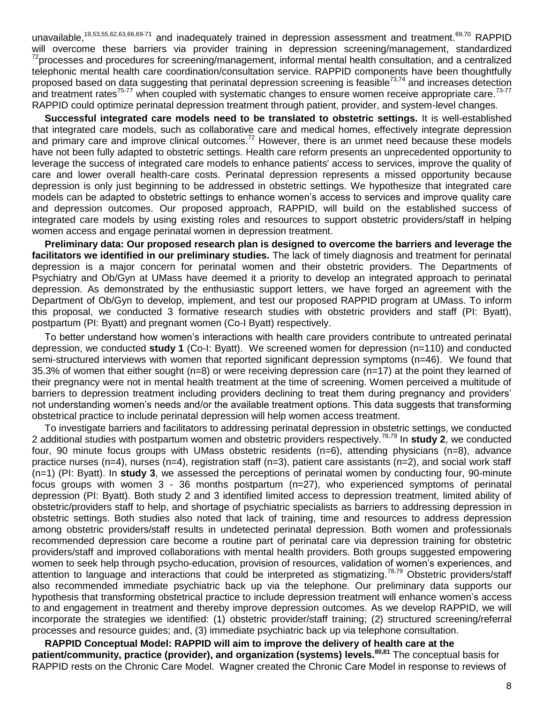unavailable,<sup>[19,](#page-16-16)[53](#page-18-1)[,55,](#page-18-2)[62,](#page-18-3)[63,](#page-18-4)[66](#page-18-5)[,69-71](#page-18-6)</sup> and inadequately trained in depression assessment and treatment.<sup>[69,](#page-18-6)[70](#page-18-7)</sup> RAPPID will overcome these barriers via provider training in depression screening/management, standardized  $^{72}$  $^{72}$  $^{72}$ processes and procedures for screening/management, informal mental health consultation, and a centralized telephonic mental health care coordination/consultation service. RAPPID components have been thoughtfully proposed based on data suggesting that perinatal depression screening is feasible<sup>[73,](#page-18-9)[74](#page-19-0)</sup> and increases detection and treatment rates<sup>[75-77](#page-19-1)</sup> when coupled with systematic changes to ensure women receive appropriate care.<sup>[73-77](#page-18-9)</sup> RAPPID could optimize perinatal depression treatment through patient, provider, and system-level changes.

**Successful integrated care models need to be translated to obstetric settings.** It is well-established that integrated care models, such as collaborative care and medical homes, effectively integrate depression and primary care and improve clinical outcomes.<sup>[72](#page-18-8)</sup> However, there is an unmet need because these models have not been fully adapted to obstetric settings. Health care reform presents an unprecedented opportunity to leverage the success of integrated care models to enhance patients' access to services, improve the quality of care and lower overall health-care costs. Perinatal depression represents a missed opportunity because depression is only just beginning to be addressed in obstetric settings. We hypothesize that integrated care models can be adapted to obstetric settings to enhance women's access to services and improve quality care and depression outcomes. Our proposed approach, RAPPID, will build on the established success of integrated care models by using existing roles and resources to support obstetric providers/staff in helping women access and engage perinatal women in depression treatment.

**Preliminary data: Our proposed research plan is designed to overcome the barriers and leverage the facilitators we identified in our preliminary studies.** The lack of timely diagnosis and treatment for perinatal depression is a major concern for perinatal women and their obstetric providers. The Departments of Psychiatry and Ob/Gyn at UMass have deemed it a priority to develop an integrated approach to perinatal depression. As demonstrated by the enthusiastic support letters, we have forged an agreement with the Department of Ob/Gyn to develop, implement, and test our proposed RAPPID program at UMass. To inform this proposal, we conducted 3 formative research studies with obstetric providers and staff (PI: Byatt), postpartum (PI: Byatt) and pregnant women (Co-I Byatt) respectively.

To better understand how women's interactions with health care providers contribute to untreated perinatal depression, we conducted **study 1** (Co-I: Byatt). We screened women for depression (n=110) and conducted semi-structured interviews with women that reported significant depression symptoms (n=46). We found that 35.3% of women that either sought (n=8) or were receiving depression care (n=17) at the point they learned of their pregnancy were not in mental health treatment at the time of screening. Women perceived a multitude of barriers to depression treatment including providers declining to treat them during pregnancy and providers' not understanding women's needs and/or the available treatment options. This data suggests that transforming obstetrical practice to include perinatal depression will help women access treatment.

To investigate barriers and facilitators to addressing perinatal depression in obstetric settings, we conducted 2 additional studies with postpartum women and obstetric providers respectively.[78,](#page-19-2)[79](#page-19-3) In **study 2**, we conducted four, 90 minute focus groups with UMass obstetric residents (n=6), attending physicians (n=8), advance practice nurses (n=4), nurses (n=4), registration staff (n=3), patient care assistants (n=2), and social work staff (n=1) (PI: Byatt). In **study 3**, we assessed the perceptions of perinatal women by conducting four, 90-minute focus groups with women 3 - 36 months postpartum (n=27), who experienced symptoms of perinatal depression (PI: Byatt). Both study 2 and 3 identified limited access to depression treatment, limited ability of obstetric/providers staff to help, and shortage of psychiatric specialists as barriers to addressing depression in obstetric settings. Both studies also noted that lack of training, time and resources to address depression among obstetric providers/staff results in undetected perinatal depression. Both women and professionals recommended depression care become a routine part of perinatal care via depression training for obstetric providers/staff and improved collaborations with mental health providers. Both groups suggested empowering women to seek help through psycho-education, provision of resources, validation of women's experiences, and attention to language and interactions that could be interpreted as stigmatizing.<sup>[78,](#page-19-2)[79](#page-19-3)</sup> Obstetric providers/staff also recommended immediate psychiatric back up via the telephone. Our preliminary data supports our hypothesis that transforming obstetrical practice to include depression treatment will enhance women's access to and engagement in treatment and thereby improve depression outcomes. As we develop RAPPID, we will incorporate the strategies we identified: (1) obstetric provider/staff training; (2) structured screening/referral processes and resource guides; and, (3) immediate psychiatric back up via telephone consultation.

**RAPPID Conceptual Model: RAPPID will aim to improve the delivery of health care at the patient/community, practice (provider), and organization (systems) levels.[80,](#page-19-4)[81](#page-19-5)** The conceptual basis for RAPPID rests on the Chronic Care Model. Wagner created the Chronic Care Model in response to reviews of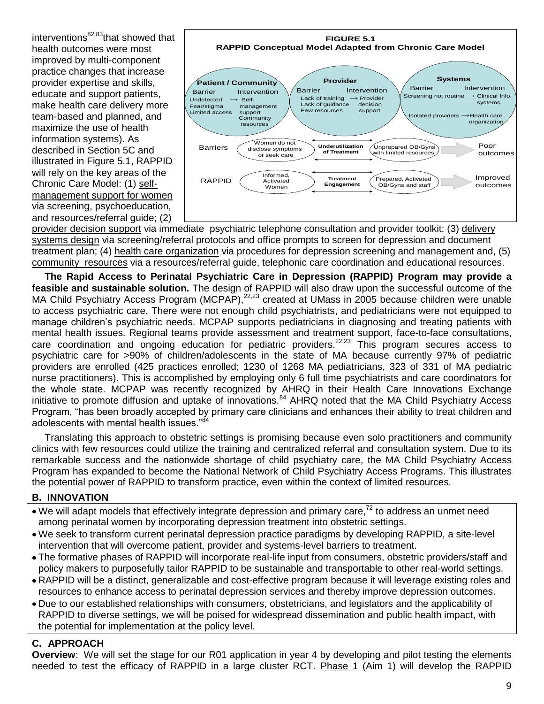interventions $82,83$  $82,83$ that showed that health outcomes were most improved by multi-component practice changes that increase provider expertise and skills, educate and support patients, make health care delivery more team-based and planned, and maximize the use of health information systems). As described in Section 5C and illustrated in Figure 5.1, RAPPID will rely on the key areas of the Chronic Care Model: (1) selfmanagement support for women via screening, psychoeducation, and resources/referral guide; (2)



provider decision support via immediate psychiatric telephone consultation and provider toolkit; (3) delivery systems design via screening/referral protocols and office prompts to screen for depression and document treatment plan; (4) health care organization via procedures for depression screening and management and, (5) community resources via a resources/referral guide, telephonic care coordination and educational resources.

**The Rapid Access to Perinatal Psychiatric Care in Depression (RAPPID) Program may provide a feasible and sustainable solution.** The design of RAPPID will also draw upon the successful outcome of the MA Child Psychiatry Access Program (MCPAP), $^{22,23}$  $^{22,23}$  $^{22,23}$  $^{22,23}$  created at UMass in 2005 because children were unable to access psychiatric care. There were not enough child psychiatrists, and pediatricians were not equipped to manage children's psychiatric needs. MCPAP supports pediatricians in diagnosing and treating patients with mental health issues. Regional teams provide assessment and treatment support, face-to-face consultations, care coordination and ongoing education for pediatric providers.<sup>[22,](#page-16-19)[23](#page-16-20)</sup> This program secures access to psychiatric care for >90% of children/adolescents in the state of MA because currently 97% of pediatric providers are enrolled (425 practices enrolled; 1230 of 1268 MA pediatricians, 323 of 331 of MA pediatric nurse practitioners). This is accomplished by employing only 6 full time psychiatrists and care coordinators for the whole state. MCPAP was recently recognized by AHRQ in their Health Care Innovations Exchange initiative to promote diffusion and uptake of innovations.<sup>[84](#page-19-8)</sup> AHRQ noted that the MA Child Psychiatry Access Program, "has been broadly accepted by primary care clinicians and enhances their ability to treat children and adolescents with mental health issues."<sup>8</sup>

Translating this approach to obstetric settings is promising because even solo practitioners and community clinics with few resources could utilize the training and centralized referral and consultation system. Due to its remarkable success and the nationwide shortage of child psychiatry care, the MA Child Psychiatry Access Program has expanded to become the National Network of Child Psychiatry Access Programs. This illustrates the potential power of RAPPID to transform practice, even within the context of limited resources.

#### **B. INNOVATION**

- We will adapt models that effectively integrate depression and primary care,<sup>[72](#page-18-8)</sup> to address an unmet need among perinatal women by incorporating depression treatment into obstetric settings.
- We seek to transform current perinatal depression practice paradigms by developing RAPPID, a site-level intervention that will overcome patient, provider and systems-level barriers to treatment.
- The formative phases of RAPPID will incorporate real-life input from consumers, obstetric providers/staff and policy makers to purposefully tailor RAPPID to be sustainable and transportable to other real-world settings.
- RAPPID will be a distinct, generalizable and cost-effective program because it will leverage existing roles and resources to enhance access to perinatal depression services and thereby improve depression outcomes.
- Due to our established relationships with consumers, obstetricians, and legislators and the applicability of RAPPID to diverse settings, we will be poised for widespread dissemination and public health impact, with the potential for implementation at the policy level.

# **C. APPROACH**

**Overview**: We will set the stage for our R01 application in year 4 by developing and pilot testing the elements needed to test the efficacy of RAPPID in a large cluster RCT. Phase 1 (Aim 1) will develop the RAPPID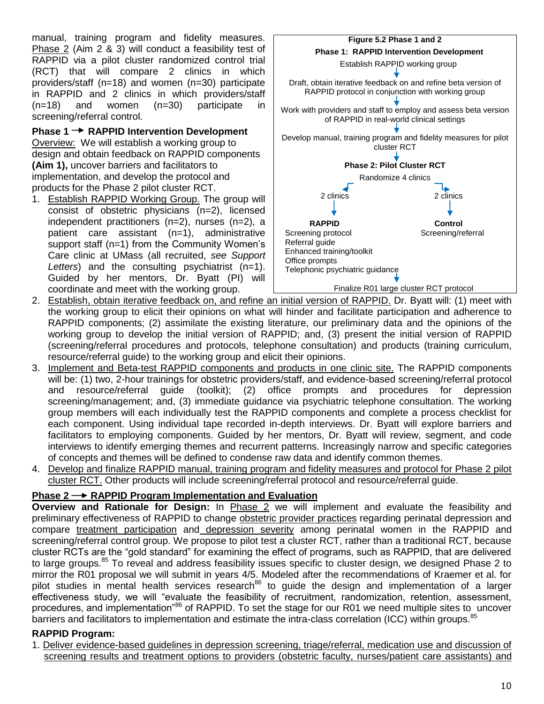manual, training program and fidelity measures. Phase 2 (Aim 2 & 3) will conduct a feasibility test of RAPPID via a pilot cluster randomized control trial (RCT) that will compare 2 clinics in which providers/staff (n=18) and women (n=30) participate in RAPPID and 2 clinics in which providers/staff (n=18) and women (n=30) participate in screening/referral control.

**Phase 1 → RAPPID Intervention Development** Overview: We will establish a working group to design and obtain feedback on RAPPID components

**(Aim 1),** uncover barriers and facilitators to implementation, and develop the protocol and products for the Phase 2 pilot cluster RCT.

1. Establish RAPPID Working Group. The group will consist of obstetric physicians (n=2), licensed independent practitioners (n=2), nurses (n=2), a patient care assistant (n=1), administrative support staff (n=1) from the Community Women's Care clinic at UMass (all recruited, *see Support*  Letters) and the consulting psychiatrist (n=1). Guided by her mentors, Dr. Byatt (PI) will coordinate and meet with the working group.



- 2. Establish, obtain iterative feedback on, and refine an initial version of RAPPID. Dr. Byatt will: (1) meet with the working group to elicit their opinions on what will hinder and facilitate participation and adherence to RAPPID components; (2) assimilate the existing literature, our preliminary data and the opinions of the working group to develop the initial version of RAPPID; and, (3) present the initial version of RAPPID (screening/referral procedures and protocols, telephone consultation) and products (training curriculum, resource/referral guide) to the working group and elicit their opinions.
- 3. Implement and Beta-test RAPPID components and products in one clinic site. The RAPPID components will be: (1) two, 2-hour trainings for obstetric providers/staff, and evidence-based screening/referral protocol and resource/referral guide (toolkit); (2) office prompts and procedures for depression screening/management; and, (3) immediate guidance via psychiatric telephone consultation. The working group members will each individually test the RAPPID components and complete a process checklist for each component. Using individual tape recorded in-depth interviews. Dr. Byatt will explore barriers and facilitators to employing components. Guided by her mentors, Dr. Byatt will review, segment, and code interviews to identify emerging themes and recurrent patterns. Increasingly narrow and specific categories of concepts and themes will be defined to condense raw data and identify common themes.
- 4. Develop and finalize RAPPID manual, training program and fidelity measures and protocol for Phase 2 pilot cluster RCT. Other products will include screening/referral protocol and resource/referral guide.

# **Phase 2 RAPPID Program Implementation and Evaluation**

**Overview and Rationale for Design:** In Phase 2 we will implement and evaluate the feasibility and preliminary effectiveness of RAPPID to change obstetric provider practices regarding perinatal depression and compare treatment participation and depression severity among perinatal women in the RAPPID and screening/referral control group. We propose to pilot test a cluster RCT, rather than a traditional RCT, because cluster RCTs are the "gold standard" for examining the effect of programs, such as RAPPID, that are delivered to large groups.<sup>[85](#page-19-9)</sup> To reveal and address feasibility issues specific to cluster design, we designed Phase 2 to mirror the R01 proposal we will submit in years 4/5. Modeled after the recommendations of Kraemer et al. for pilot studies in mental health services research<sup>[86](#page-19-10)</sup> to guide the design and implementation of a larger effectiveness study, we will "evaluate the feasibility of recruitment, randomization, retention, assessment, procedures, and implementation<sup>[86](#page-19-10)</sup> of RAPPID. To set the stage for our R01 we need multiple sites to uncover barriers and facilitators to implementation and estimate the intra-class correlation (ICC) within groups.<sup>[85](#page-19-9)</sup>

# **RAPPID Program:**

1. Deliver evidence-based guidelines in depression screening, triage/referral, medication use and discussion of screening results and treatment options to providers (obstetric faculty, nurses/patient care assistants) and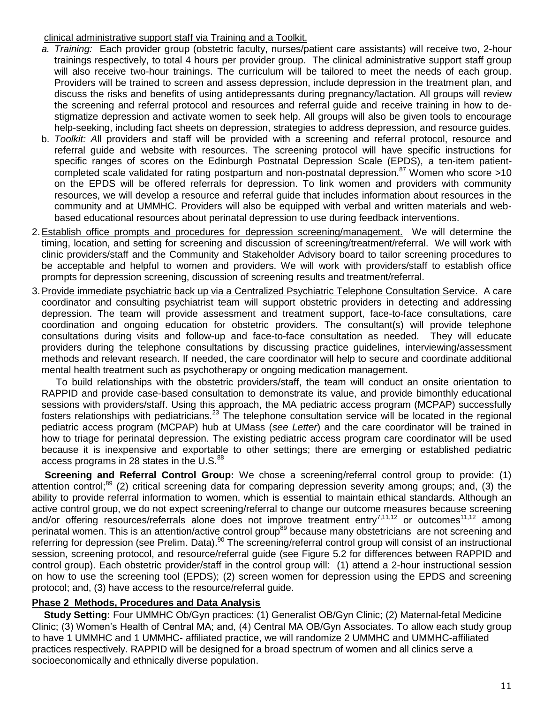### clinical administrative support staff via Training and a Toolkit.

- *a. Training:* Each provider group (obstetric faculty, nurses/patient care assistants) will receive two, 2-hour trainings respectively, to total 4 hours per provider group. The clinical administrative support staff group will also receive two-hour trainings. The curriculum will be tailored to meet the needs of each group. Providers will be trained to screen and assess depression, include depression in the treatment plan, and discuss the risks and benefits of using antidepressants during pregnancy/lactation. All groups will review the screening and referral protocol and resources and referral guide and receive training in how to destigmatize depression and activate women to seek help. All groups will also be given tools to encourage help-seeking, including fact sheets on depression, strategies to address depression, and resource guides.
- b. *Toolkit: A*ll providers and staff will be provided with a screening and referral protocol, resource and referral guide and website with resources. The screening protocol will have specific instructions for specific ranges of scores on the Edinburgh Postnatal Depression Scale (EPDS), a ten-item patient-completed scale validated for rating postpartum and non-postnatal depression.<sup>[87](#page-19-11)</sup> Women who score >10 on the EPDS will be offered referrals for depression. To link women and providers with community resources, we will develop a resource and referral guide that includes information about resources in the community and at UMMHC. Providers will also be equipped with verbal and written materials and webbased educational resources about perinatal depression to use during feedback interventions.
- 2.Establish office prompts and procedures for depression screening/management.We will determine the timing, location, and setting for screening and discussion of screening/treatment/referral. We will work with clinic providers/staff and the Community and Stakeholder Advisory board to tailor screening procedures to be acceptable and helpful to women and providers. We will work with providers/staff to establish office prompts for depression screening, discussion of screening results and treatment/referral.
- 3.Provide immediate psychiatric back up via a Centralized Psychiatric Telephone Consultation Service. A care coordinator and consulting psychiatrist team will support obstetric providers in detecting and addressing depression. The team will provide assessment and treatment support, face-to-face consultations, care coordination and ongoing education for obstetric providers. The consultant(s) will provide telephone consultations during visits and follow-up and face-to-face consultation as needed. They will educate providers during the telephone consultations by discussing practice guidelines, interviewing/assessment methods and relevant research. If needed, the care coordinator will help to secure and coordinate additional mental health treatment such as psychotherapy or ongoing medication management.

To build relationships with the obstetric providers/staff, the team will conduct an onsite orientation to RAPPID and provide case-based consultation to demonstrate its value, and provide bimonthly educational sessions with providers/staff. Using this approach, the MA pediatric access program (MCPAP) successfully fosters relationships with pediatricians.<sup>[23](#page-16-20)</sup> The telephone consultation service will be located in the regional pediatric access program (MCPAP) hub at UMass (*see Letter*) and the care coordinator will be trained in how to triage for perinatal depression. The existing pediatric access program care coordinator will be used because it is inexpensive and exportable to other settings; there are emerging or established pediatric access programs in 28 states in the  $U.S.^{88}$  $U.S.^{88}$  $U.S.^{88}$ 

**Screening and Referral Control Group:** We chose a screening/referral control group to provide: (1) attention control;<sup>[89](#page-19-13)</sup> (2) critical screening data for comparing depression severity among groups; and, (3) the ability to provide referral information to women, which is essential to maintain ethical standards. Although an active control group, we do not expect screening/referral to change our outcome measures because screening and/or offering resources/referrals alone does not improve treatment entry<sup>[7](#page-16-6)[,11,](#page-16-10)[12](#page-16-11)</sup> or outcomes<sup>[11](#page-16-10)[,12](#page-16-11)</sup> among perinatal women. This is an attention/active control group<sup>[89](#page-19-13)</sup> because many obstetricians are not screening and referring for depression (see Prelim. Data).[90](#page-19-14) The screening/referral control group will consist of an instructional session, screening protocol, and resource/referral guide (see Figure 5.2 for differences between RAPPID and control group). Each obstetric provider/staff in the control group will: (1) attend a 2-hour instructional session on how to use the screening tool (EPDS); (2) screen women for depression using the EPDS and screening protocol; and, (3) have access to the resource/referral guide.

# **Phase 2 Methods, Procedures and Data Analysis**

**Study Setting:** Four UMMHC Ob/Gyn practices: (1) Generalist OB/Gyn Clinic; (2) Maternal-fetal Medicine Clinic; (3) Women's Health of Central MA; and, (4) Central MA OB/Gyn Associates. To allow each study group to have 1 UMMHC and 1 UMMHC- affiliated practice, we will randomize 2 UMMHC and UMMHC-affiliated practices respectively. RAPPID will be designed for a broad spectrum of women and all clinics serve a socioeconomically and ethnically diverse population.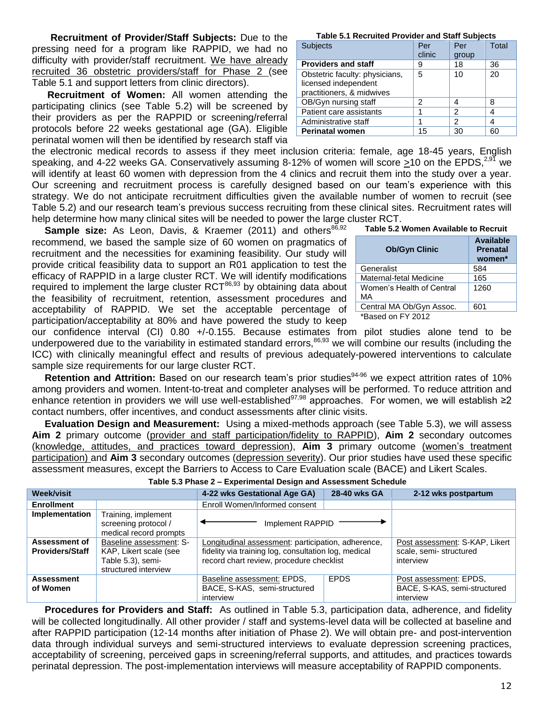**Recruitment of Provider/Staff Subjects:** Due to the pressing need for a program like RAPPID, we had no difficulty with provider/staff recruitment. We have already recruited 36 obstetric providers/staff for Phase 2 (see Table 5.1 and support letters from clinic directors).

**Recruitment of Women:** All women attending the participating clinics (see Table 5.2) will be screened by their providers as per the RAPPID or screening/referral protocols before 22 weeks gestational age (GA). Eligible perinatal women will then be identified by research staff via

the electronic medical records to assess if they meet inclusion criteria: female, age 18-45 years, English speaking, and 4-22 weeks GA. Conservatively assuming 8-12% of women will score >10 on the EPDS.<sup>[2,](#page-16-1)[91](#page-19-15)</sup> we will identify at least 60 women with depression from the 4 clinics and recruit them into the study over a year. Our screening and recruitment process is carefully designed based on our team's experience with this strategy. We do not anticipate recruitment difficulties given the available number of women to recruit (see Table 5.2) and our research team's previous success recruiting from these clinical sites. Recruitment rates will help determine how many clinical sites will be needed to power the large cluster RCT.

**Sample size:** As Leon, Davis, & Kraemer (2011) and others<sup>[86,](#page-19-10)[92](#page-19-16)</sup> recommend, we based the sample size of 60 women on pragmatics of recruitment and the necessities for examining feasibility. Our study will provide critical feasibility data to support an R01 application to test the efficacy of RAPPID in a large cluster RCT. We will identify modifications required to implement the large cluster RCT<sup>[86,](#page-19-10)[93](#page-19-17)</sup> by obtaining data about the feasibility of recruitment, retention, assessment procedures and acceptability of RAPPID. We set the acceptable percentage of participation/acceptability at 80% and have powered the study to keep

**Available** 

| <b>Ob/Gyn Clinic</b>            | <b>Prenatal</b><br>women* |
|---------------------------------|---------------------------|
| Generalist                      | 584                       |
| Maternal-fetal Medicine         | 165                       |
| Women's Health of Central<br>МA | 1260                      |
| Central MA Ob/Gyn Assoc.        | 601                       |
| *Based on FY 2012               |                           |

**Table 5.2 Women Available to Recruit**

our confidence interval (CI) 0.80 +/-0.155. Because estimates from pilot studies alone tend to be underpowered due to the variability in estimated standard errors,<sup>[86,](#page-19-10)[93](#page-19-17)</sup> we will combine our results (including the ICC) with clinically meaningful effect and results of previous adequately-powered interventions to calculate sample size requirements for our large cluster RCT.

Retention and Attrition: Based on our research team's prior studies<sup>[94-96](#page-19-18)</sup> we expect attrition rates of 10% among providers and women. Intent-to-treat and completer analyses will be performed. To reduce attrition and enhance retention in providers we will use well-established $97,98$  $97,98$  approaches. For women, we will establish  $\geq 2$ contact numbers, offer incentives, and conduct assessments after clinic visits.

**Evaluation Design and Measurement:** Using a mixed-methods approach (see Table 5.3), we will assess **Aim 2** primary outcome (provider and staff participation/fidelity to RAPPID), **Aim 2** secondary outcomes (knowledge, attitudes, and practices toward depression), **Aim 3** primary outcome (women's treatment participation) and **Aim 3** secondary outcomes (depression severity). Our prior studies have used these specific assessment measures, except the Barriers to Access to Care Evaluation scale (BACE) and Likert Scales.

| <b>Week/visit</b>                       |                                                                                                | 4-22 wks Gestational Age GA)                                                                                                                           | 2-12 wks postpartum                                                   |                                                                     |
|-----------------------------------------|------------------------------------------------------------------------------------------------|--------------------------------------------------------------------------------------------------------------------------------------------------------|-----------------------------------------------------------------------|---------------------------------------------------------------------|
| <b>Enrollment</b>                       |                                                                                                | Enroll Women/Informed consent                                                                                                                          |                                                                       |                                                                     |
| <b>Implementation</b>                   | Training, implement<br>screening protocol /<br>medical record prompts                          | Implement RAPPID                                                                                                                                       |                                                                       |                                                                     |
| Assessment of<br><b>Providers/Staff</b> | Baseline assessment: S-<br>KAP, Likert scale (see<br>Table 5.3), semi-<br>structured interview | Longitudinal assessment: participation, adherence,<br>fidelity via training log, consultation log, medical<br>record chart review, procedure checklist | Post assessment: S-KAP, Likert<br>scale, semi-structured<br>interview |                                                                     |
| <b>Assessment</b><br>of Women           |                                                                                                | Baseline assessment: EPDS,<br>BACE, S-KAS, semi-structured<br>interview                                                                                | <b>EPDS</b>                                                           | Post assessment: EPDS,<br>BACE, S-KAS, semi-structured<br>interview |

**Table 5.3 Phase 2 – Experimental Design and Assessment Schedule**

**Procedures for Providers and Staff:** As outlined in Table 5.3, participation data, adherence, and fidelity will be collected longitudinally. All other provider / staff and systems-level data will be collected at baseline and after RAPPID participation (12-14 months after initiation of Phase 2). We will obtain pre- and post-intervention data through individual surveys and semi-structured interviews to evaluate depression screening practices, acceptability of screening, perceived gaps in screening/referral supports, and attitudes*,* and practices towards perinatal depression. The post-implementation interviews will measure acceptability of RAPPID components.

#### **Table 5.1 Recruited Provider and Staff Subjects**

| <b>Subjects</b>                                                                     | Per<br>clinic | Per<br>group   | Total |
|-------------------------------------------------------------------------------------|---------------|----------------|-------|
| <b>Providers and staff</b>                                                          | 9             | 18             | 36    |
| Obstetric faculty: physicians,<br>licensed independent<br>practitioners, & midwives | 5             | 10             | 20    |
| OB/Gyn nursing staff                                                                | 2             | 4              | 8     |
| Patient care assistants                                                             |               | $\mathfrak{p}$ | 4     |
| Administrative staff                                                                |               | 2              | 4     |
| <b>Perinatal women</b>                                                              | 15            | 30             | 60    |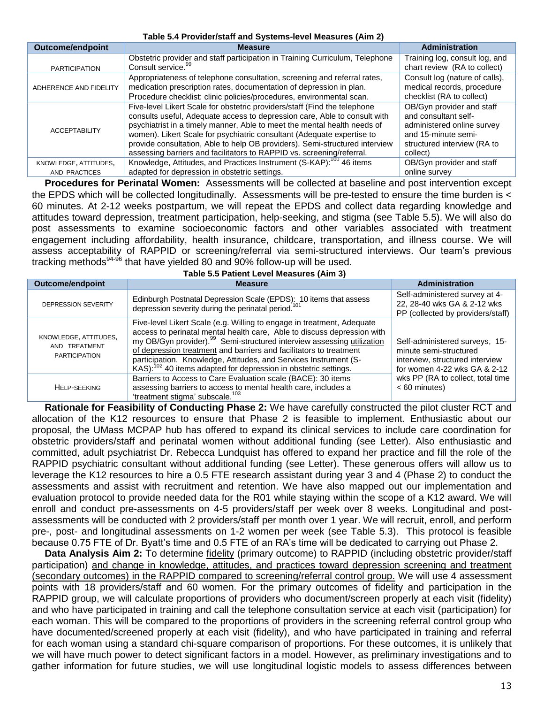#### **Table 5.4 Provider/staff and Systems-level Measures (Aim 2)**

| <b>Outcome/endpoint</b> | <b>Measure</b>                                                                                                                                                                                                                                                                                                                                                                                                                                                       | <b>Administration</b>                                                                                                                             |
|-------------------------|----------------------------------------------------------------------------------------------------------------------------------------------------------------------------------------------------------------------------------------------------------------------------------------------------------------------------------------------------------------------------------------------------------------------------------------------------------------------|---------------------------------------------------------------------------------------------------------------------------------------------------|
| <b>PARTICIPATION</b>    | Obstetric provider and staff participation in Training Curriculum, Telephone<br>Consult service. <sup>99</sup>                                                                                                                                                                                                                                                                                                                                                       | Training log, consult log, and<br>chart review (RA to collect)                                                                                    |
| ADHERENCE AND FIDELITY  | Appropriateness of telephone consultation, screening and referral rates,<br>medication prescription rates, documentation of depression in plan.<br>Procedure checklist: clinic policies/procedures, environmental scan.                                                                                                                                                                                                                                              | Consult log (nature of calls),<br>medical records, procedure<br>checklist (RA to collect)                                                         |
| <b>ACCEPTABILITY</b>    | Five-level Likert Scale for obstetric providers/staff (Find the telephone<br>consults useful, Adequate access to depression care, Able to consult with<br>psychiatrist in a timely manner, Able to meet the mental health needs of<br>women). Likert Scale for psychiatric consultant (Adequate expertise to<br>provide consultation, Able to help OB providers). Semi-structured interview<br>assessing barriers and facilitators to RAPPID vs. screening/referral. | OB/Gyn provider and staff<br>and consultant self-<br>administered online survey<br>and 15-minute semi-<br>structured interview (RA to<br>collect) |
| KNOWLEDGE, ATTITUDES,   | Knowledge, Attitudes, and Practices Instrument (S-KAP): <sup>100</sup> 46 items                                                                                                                                                                                                                                                                                                                                                                                      | OB/Gyn provider and staff                                                                                                                         |
| AND PRACTICES           | adapted for depression in obstetric settings.                                                                                                                                                                                                                                                                                                                                                                                                                        | online survey                                                                                                                                     |

**Procedures for Perinatal Women:** Assessments will be collected at baseline and post intervention except the EPDS which will be collected longitudinally. Assessments will be pre-tested to ensure the time burden is < 60 minutes. At 2-12 weeks postpartum, we will repeat the EPDS and collect data regarding knowledge and attitudes toward depression, treatment participation, help-seeking, and stigma (see Table 5.5). We will also do post assessments to examine socioeconomic factors and other variables associated with treatment engagement including affordability, health insurance, childcare, transportation, and illness course. We will assess acceptability of RAPPID or screening/referral via semi-structured interviews. Our team's previous tracking methods $94-96$  that have yielded 80 and 90% follow-up will be used. **Table 5.5 Patient Level Measures (Aim 3)** 

| Outcome/endpoint                                               | <b>Measure</b>                                                                                                                                                                                                                                                                                                                                                                                                                                                   | Administration                                                                                                              |
|----------------------------------------------------------------|------------------------------------------------------------------------------------------------------------------------------------------------------------------------------------------------------------------------------------------------------------------------------------------------------------------------------------------------------------------------------------------------------------------------------------------------------------------|-----------------------------------------------------------------------------------------------------------------------------|
| <b>DEPRESSION SEVERITY</b>                                     | Edinburgh Postnatal Depression Scale (EPDS): 10 items that assess<br>depression severity during the perinatal period. <sup>101</sup>                                                                                                                                                                                                                                                                                                                             | Self-administered survey at 4-<br>22, 28-40 wks GA & 2-12 wks<br>PP (collected by providers/staff)                          |
| KNOWLEDGE, ATTITUDES,<br>AND TREATMENT<br><b>PARTICIPATION</b> | Five-level Likert Scale (e.g. Willing to engage in treatment, Adequate<br>access to perinatal mental health care, Able to discuss depression with<br>my OB/Gyn provider). <sup>99</sup> Semi-structured interview assessing utilization<br>of depression treatment and barriers and facilitators to treatment<br>participation. Knowledge, Attitudes, and Services Instrument (S-<br>KAS): <sup>102</sup> 40 items adapted for depression in obstetric settings. | Self-administered surveys, 15-<br>minute semi-structured<br>interview, structured interview<br>for women 4-22 wks GA & 2-12 |
| <b>HELP-SEEKING</b>                                            | Barriers to Access to Care Evaluation scale (BACE): 30 items<br>assessing barriers to access to mental health care, includes a<br>'treatment stigma' subscale. <sup>103</sup>                                                                                                                                                                                                                                                                                    | wks PP (RA to collect, total time<br>$< 60$ minutes)                                                                        |

**Rationale for Feasibility of Conducting Phase 2:** We have carefully constructed the pilot cluster RCT and allocation of the K12 resources to ensure that Phase 2 is feasible to implement. Enthusiastic about our proposal, the UMass MCPAP hub has offered to expand its clinical services to include care coordination for obstetric providers/staff and perinatal women without additional funding (see Letter). Also enthusiastic and committed, adult psychiatrist Dr. Rebecca Lundquist has offered to expand her practice and fill the role of the RAPPID psychiatric consultant without additional funding (see Letter). These generous offers will allow us to leverage the K12 resources to hire a 0.5 FTE research assistant during year 3 and 4 (Phase 2) to conduct the assessments and assist with recruitment and retention. We have also mapped out our implementation and evaluation protocol to provide needed data for the R01 while staying within the scope of a K12 award. We will enroll and conduct pre-assessments on 4-5 providers/staff per week over 8 weeks. Longitudinal and postassessments will be conducted with 2 providers/staff per month over 1 year. We will recruit, enroll, and perform pre-, post- and longitudinal assessments on 1-2 women per week (see Table 5.3). This protocol is feasible because 0.75 FTE of Dr. Byatt's time and 0.5 FTE of an RA's time will be dedicated to carrying out Phase 2.

**Data Analysis Aim 2:** To determine fidelity (primary outcome) to RAPPID (including obstetric provider/staff participation) and change in knowledge, attitudes, and practices toward depression screening and treatment (secondary outcomes) in the RAPPID compared to screening/referral control group. We will use 4 assessment points with 18 providers/staff and 60 women. For the primary outcomes of fidelity and participation in the RAPPID group, we will calculate proportions of providers who document/screen properly at each visit (fidelity) and who have participated in training and call the telephone consultation service at each visit (participation) for each woman. This will be compared to the proportions of providers in the screening referral control group who have documented/screened properly at each visit (fidelity), and who have participated in training and referral for each woman using a standard chi-square comparison of proportions. For these outcomes, it is unlikely that we will have much power to detect significant factors in a model. However, as preliminary investigations and to gather information for future studies, we will use longitudinal logistic models to assess differences between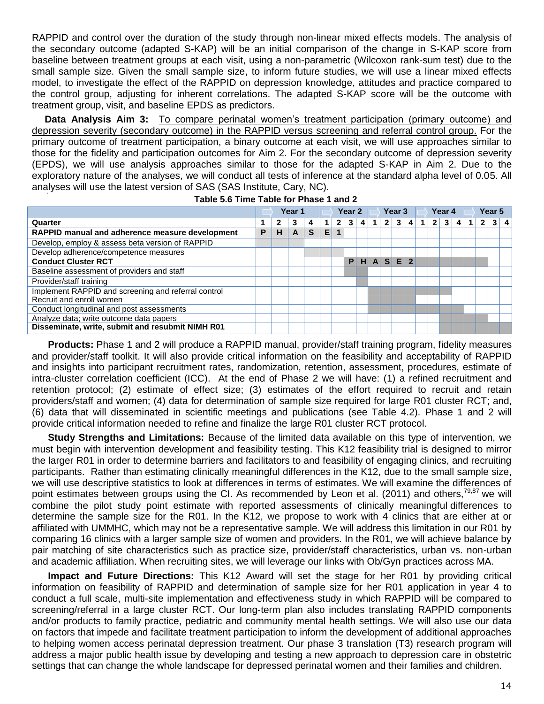RAPPID and control over the duration of the study through non-linear mixed effects models. The analysis of the secondary outcome (adapted S-KAP) will be an initial comparison of the change in S-KAP score from baseline between treatment groups at each visit, using a non-parametric (Wilcoxon rank-sum test) due to the small sample size. Given the small sample size, to inform future studies, we will use a linear mixed effects model, to investigate the effect of the RAPPID on depression knowledge, attitudes and practice compared to the control group, adjusting for inherent correlations. The adapted S-KAP score will be the outcome with treatment group, visit, and baseline EPDS as predictors.

**Data Analysis Aim 3:** To compare perinatal women's treatment participation (primary outcome) and depression severity (secondary outcome) in the RAPPID versus screening and referral control group. For the primary outcome of treatment participation, a binary outcome at each visit, we will use approaches similar to those for the fidelity and participation outcomes for Aim 2. For the secondary outcome of depression severity (EPDS), we will use analysis approaches similar to those for the adapted S-KAP in Aim 2. Due to the exploratory nature of the analyses, we will conduct all tests of inference at the standard alpha level of 0.05. All analyses will use the latest version of SAS (SAS Institute, Cary, NC).

|                                                     |   | Year 1 |   |   |    |                |              |   |  |                |                |                     |  |              |   |   |  |              |                |  |  |  |  |  |  |  |  | Year 2 |  | Year <sub>3</sub> |  |  | Year 4 |  |  |  |  | Year 5 |  |  |
|-----------------------------------------------------|---|--------|---|---|----|----------------|--------------|---|--|----------------|----------------|---------------------|--|--------------|---|---|--|--------------|----------------|--|--|--|--|--|--|--|--|--------|--|-------------------|--|--|--------|--|--|--|--|--------|--|--|
| Quarter                                             |   | 2      | 3 | 4 | 1  | $\overline{2}$ | $\mathbf{3}$ | 4 |  | $\overline{2}$ | 3 <sub>1</sub> | $\overline{\bf{4}}$ |  | $\mathbf{2}$ | 3 | 4 |  | $\mathbf{2}$ | 3 <sub>1</sub> |  |  |  |  |  |  |  |  |        |  |                   |  |  |        |  |  |  |  |        |  |  |
| RAPPID manual and adherence measure development     | Р | н      | A | S | E. |                |              |   |  |                |                |                     |  |              |   |   |  |              |                |  |  |  |  |  |  |  |  |        |  |                   |  |  |        |  |  |  |  |        |  |  |
| Develop, employ & assess beta version of RAPPID     |   |        |   |   |    |                |              |   |  |                |                |                     |  |              |   |   |  |              |                |  |  |  |  |  |  |  |  |        |  |                   |  |  |        |  |  |  |  |        |  |  |
| Develop adherence/competence measures               |   |        |   |   |    |                |              |   |  |                |                |                     |  |              |   |   |  |              |                |  |  |  |  |  |  |  |  |        |  |                   |  |  |        |  |  |  |  |        |  |  |
| <b>Conduct Cluster RCT</b>                          |   |        |   |   |    |                |              |   |  | $P$ H A S E 2  |                |                     |  |              |   |   |  |              |                |  |  |  |  |  |  |  |  |        |  |                   |  |  |        |  |  |  |  |        |  |  |
| Baseline assessment of providers and staff          |   |        |   |   |    |                |              |   |  |                |                |                     |  |              |   |   |  |              |                |  |  |  |  |  |  |  |  |        |  |                   |  |  |        |  |  |  |  |        |  |  |
| Provider/staff training                             |   |        |   |   |    |                |              |   |  |                |                |                     |  |              |   |   |  |              |                |  |  |  |  |  |  |  |  |        |  |                   |  |  |        |  |  |  |  |        |  |  |
| Implement RAPPID and screening and referral control |   |        |   |   |    |                |              |   |  |                |                |                     |  |              |   |   |  |              |                |  |  |  |  |  |  |  |  |        |  |                   |  |  |        |  |  |  |  |        |  |  |
| Recruit and enroll women                            |   |        |   |   |    |                |              |   |  |                |                |                     |  |              |   |   |  |              |                |  |  |  |  |  |  |  |  |        |  |                   |  |  |        |  |  |  |  |        |  |  |
| Conduct longitudinal and post assessments           |   |        |   |   |    |                |              |   |  |                |                |                     |  |              |   |   |  |              |                |  |  |  |  |  |  |  |  |        |  |                   |  |  |        |  |  |  |  |        |  |  |
| Analyze data; write outcome data papers             |   |        |   |   |    |                |              |   |  |                |                |                     |  |              |   |   |  |              |                |  |  |  |  |  |  |  |  |        |  |                   |  |  |        |  |  |  |  |        |  |  |
| Disseminate, write, submit and resubmit NIMH R01    |   |        |   |   |    |                |              |   |  |                |                |                     |  |              |   |   |  |              |                |  |  |  |  |  |  |  |  |        |  |                   |  |  |        |  |  |  |  |        |  |  |

|  |  | Table 5.6 Time Table for Phase 1 and 2 |  |  |
|--|--|----------------------------------------|--|--|
|  |  |                                        |  |  |

**Products:** Phase 1 and 2 will produce a RAPPID manual, provider/staff training program, fidelity measures and provider/staff toolkit. It will also provide critical information on the feasibility and acceptability of RAPPID and insights into participant recruitment rates, randomization, retention, assessment, procedures, estimate of intra-cluster correlation coefficient (ICC). At the end of Phase 2 we will have: (1) a refined recruitment and retention protocol; (2) estimate of effect size; (3) estimates of the effort required to recruit and retain providers/staff and women; (4) data for determination of sample size required for large R01 cluster RCT; and, (6) data that will disseminated in scientific meetings and publications (see Table 4.2). Phase 1 and 2 will provide critical information needed to refine and finalize the large R01 cluster RCT protocol.

**Study Strengths and Limitations:** Because of the limited data available on this type of intervention, we must begin with intervention development and feasibility testing. This K12 feasibility trial is designed to mirror the larger R01 in order to determine barriers and facilitators to and feasibility of engaging clinics, and recruiting participants. Rather than estimating clinically meaningful differences in the K12, due to the small sample size, we will use descriptive statistics to look at differences in terms of estimates. We will examine the differences of point estimates between groups using the CI. As recommended by Leon et al. (2011) and others,<sup>79,87</sup> we will combine the pilot study point estimate with reported assessments of clinically meaningful differences to determine the sample size for the R01. In the K12, we propose to work with 4 clinics that are either at or affiliated with UMMHC, which may not be a representative sample. We will address this limitation in our R01 by comparing 16 clinics with a larger sample size of women and providers. In the R01, we will achieve balance by pair matching of site characteristics such as practice size, provider/staff characteristics, urban vs. non-urban and academic affiliation. When recruiting sites, we will leverage our links with Ob/Gyn practices across MA.

**Impact and Future Directions:** This K12 Award will set the stage for her R01 by providing critical information on feasibility of RAPPID and determination of sample size for her R01 application in year 4 to conduct a full scale, multi-site implementation and effectiveness study in which RAPPID will be compared to screening/referral in a large cluster RCT. Our long-term plan also includes translating RAPPID components and/or products to family practice, pediatric and community mental health settings. We will also use our data on factors that impede and facilitate treatment participation to inform the development of additional approaches to helping women access perinatal depression treatment. Our phase 3 translation (T3) research program will address a major public health issue by developing and testing a new approach to depression care in obstetric settings that can change the whole landscape for depressed perinatal women and their families and children.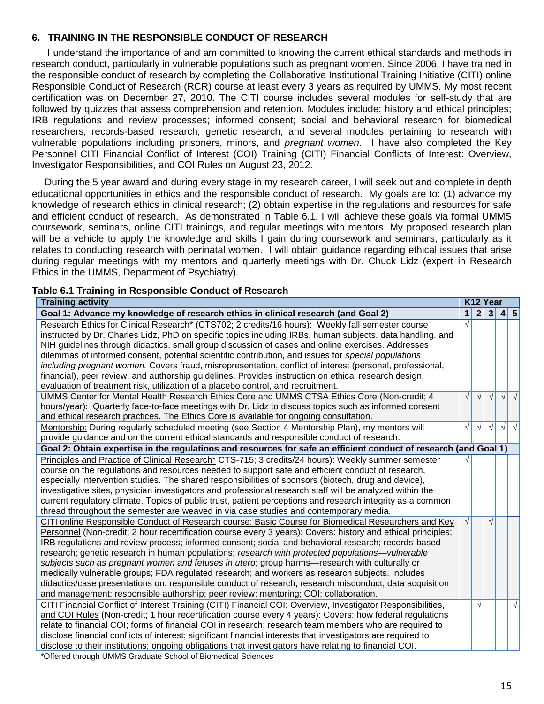# **6. TRAINING IN THE RESPONSIBLE CONDUCT OF RESEARCH**

I understand the importance of and am committed to knowing the current ethical standards and methods in research conduct, particularly in vulnerable populations such as pregnant women. Since 2006, I have trained in the responsible conduct of research by completing the Collaborative Institutional Training Initiative (CITI) online Responsible Conduct of Research (RCR) course at least every 3 years as required by UMMS. My most recent certification was on December 27, 2010. The CITI course includes several modules for self-study that are followed by quizzes that assess comprehension and retention. Modules include: history and ethical principles; IRB regulations and review processes; informed consent; social and behavioral research for biomedical researchers; records-based research; genetic research; and several modules pertaining to research with vulnerable populations including prisoners, minors, and *pregnant women*. I have also completed the Key Personnel CITI Financial Conflict of Interest (COI) Training (CITI) Financial Conflicts of Interest: Overview, Investigator Responsibilities, and COI Rules on August 23, 2012.

During the 5 year award and during every stage in my research career, I will seek out and complete in depth educational opportunities in ethics and the responsible conduct of research. My goals are to: (1) advance my knowledge of research ethics in clinical research; (2) obtain expertise in the regulations and resources for safe and efficient conduct of research. As demonstrated in Table 6.1, I will achieve these goals via formal UMMS coursework, seminars, online CITI trainings, and regular meetings with mentors. My proposed research plan will be a vehicle to apply the knowledge and skills I gain during coursework and seminars, particularly as it relates to conducting research with perinatal women. I will obtain guidance regarding ethical issues that arise during regular meetings with my mentors and quarterly meetings with Dr. Chuck Lidz (expert in Research Ethics in the UMMS, Department of Psychiatry).

# **Table 6.1 Training in Responsible Conduct of Research**

| <b>Training activity</b>                                                                                                                                                |                |            |            |  |                     |
|-------------------------------------------------------------------------------------------------------------------------------------------------------------------------|----------------|------------|------------|--|---------------------|
| Goal 1: Advance my knowledge of research ethics in clinical research (and Goal 2)                                                                                       | 1 <sup>1</sup> |            |            |  | 2 3 4 5             |
| Research Ethics for Clinical Research* (CTS702; 2 credits/16 hours): Weekly fall semester course                                                                        | $\sqrt{ }$     |            |            |  |                     |
| instructed by Dr. Charles Lidz, PhD on specific topics including IRBs, human subjects, data handling, and                                                               |                |            |            |  |                     |
| NIH guidelines through didactics, small group discussion of cases and online exercises. Addresses                                                                       |                |            |            |  |                     |
| dilemmas of informed consent, potential scientific contribution, and issues for special populations                                                                     |                |            |            |  |                     |
| including pregnant women. Covers fraud, misrepresentation, conflict of interest (personal, professional,                                                                |                |            |            |  |                     |
| financial), peer review, and authorship guidelines. Provides instruction on ethical research design,                                                                    |                |            |            |  |                     |
| evaluation of treatment risk, utilization of a placebo control, and recruitment.                                                                                        |                |            |            |  |                     |
| UMMS Center for Mental Health Research Ethics Core and UMMS CTSA Ethics Core (Non-credit; 4                                                                             | $\sqrt{ }$     | $\sqrt{ }$ | $\sqrt{ }$ |  | $\sqrt{ \sqrt{ }}$  |
| hours/year): Quarterly face-to-face meetings with Dr. Lidz to discuss topics such as informed consent                                                                   |                |            |            |  |                     |
| and ethical research practices. The Ethics Core is available for ongoing consultation.                                                                                  |                |            |            |  |                     |
| Mentorship: During regularly scheduled meeting (see Section 4 Mentorship Plan), my mentors will                                                                         | $\sqrt{ }$     | $\sqrt{ }$ | $\sqrt{ }$ |  | $\sqrt{ \sqrt{2} }$ |
| provide guidance and on the current ethical standards and responsible conduct of research.                                                                              |                |            |            |  |                     |
| Goal 2: Obtain expertise in the regulations and resources for safe an efficient conduct of research (and Goal 1)                                                        |                |            |            |  |                     |
| Principles and Practice of Clinical Research* CTS-715; 3 credits/24 hours): Weekly summer semester                                                                      |                |            |            |  |                     |
| course on the regulations and resources needed to support safe and efficient conduct of research,                                                                       |                |            |            |  |                     |
| especially intervention studies. The shared responsibilities of sponsors (biotech, drug and device),                                                                    |                |            |            |  |                     |
| investigative sites, physician investigators and professional research staff will be analyzed within the                                                                |                |            |            |  |                     |
| current regulatory climate. Topics of public trust, patient perceptions and research integrity as a common                                                              |                |            |            |  |                     |
| thread throughout the semester are weaved in via case studies and contemporary media.                                                                                   |                |            |            |  |                     |
| CITI online Responsible Conduct of Research course: Basic Course for Biomedical Researchers and Key                                                                     | $\sqrt{ }$     |            | $\sqrt{ }$ |  |                     |
| Personnel (Non-credit; 2 hour recertification course every 3 years): Covers: history and ethical principles;                                                            |                |            |            |  |                     |
| IRB regulations and review process; informed consent; social and behavioral research; records-based                                                                     |                |            |            |  |                     |
| research; genetic research in human populations; research with protected populations—vulnerable                                                                         |                |            |            |  |                     |
| subjects such as pregnant women and fetuses in utero; group harms—research with culturally or                                                                           |                |            |            |  |                     |
| medically vulnerable groups; FDA regulated research; and workers as research subjects. Includes                                                                         |                |            |            |  |                     |
| didactics/case presentations on: responsible conduct of research; research misconduct; data acquisition                                                                 |                |            |            |  |                     |
| and management; responsible authorship; peer review; mentoring; COI; collaboration.                                                                                     |                |            |            |  |                     |
| CITI Financial Conflict of Interest Training (CITI) Financial COI: Overview, Investigator Responsibilities,                                                             |                | $\sqrt{ }$ |            |  | $\sqrt{ }$          |
| and COI Rules (Non-credit; 1 hour recertification course every 4 years): Covers: how federal regulations                                                                |                |            |            |  |                     |
| relate to financial COI; forms of financial COI in research; research team members who are required to                                                                  |                |            |            |  |                     |
| disclose financial conflicts of interest; significant financial interests that investigators are required to                                                            |                |            |            |  |                     |
| disclose to their institutions; ongoing obligations that investigators have relating to financial COI.<br>*Offered through LIMMS Graduate School of Biomedical Sciences |                |            |            |  |                     |

Offered through UMMS Graduate School of Biomedical Sciences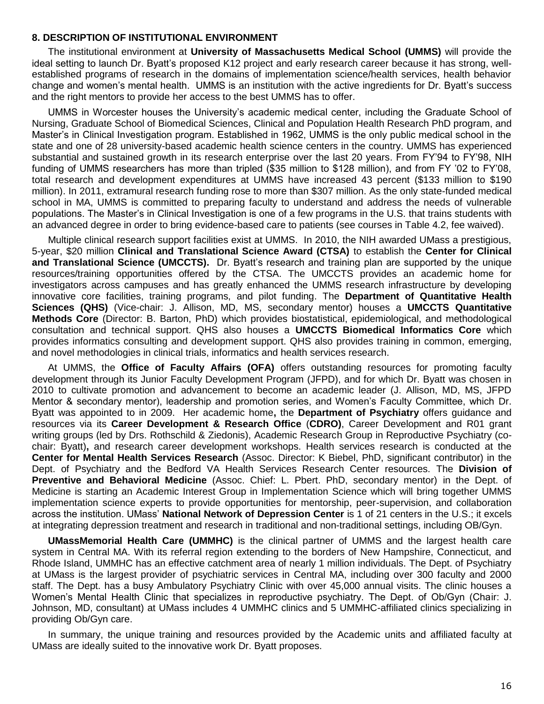#### **8. DESCRIPTION OF INSTITUTIONAL ENVIRONMENT**

The institutional environment at **University of Massachusetts Medical School (UMMS)** will provide the ideal setting to launch Dr. Byatt's proposed K12 project and early research career because it has strong, wellestablished programs of research in the domains of implementation science/health services, health behavior change and women's mental health. UMMS is an institution with the active ingredients for Dr. Byatt's success and the right mentors to provide her access to the best UMMS has to offer.

UMMS in Worcester houses the University's academic medical center, including the Graduate School of Nursing, Graduate School of Biomedical Sciences, Clinical and Population Health Research PhD program, and Master's in Clinical Investigation program. Established in 1962, UMMS is the only public medical school in the state and one of 28 university-based academic health science centers in the country. UMMS has experienced substantial and sustained growth in its research enterprise over the last 20 years. From FY'94 to FY'98, NIH funding of UMMS researchers has more than tripled (\$35 million to \$128 million), and from FY '02 to FY'08. total research and development expenditures at UMMS have increased 43 percent (\$133 million to \$190 million). In 2011, extramural research funding rose to more than \$307 million. As the only state-funded medical school in MA, UMMS is committed to preparing faculty to understand and address the needs of vulnerable populations. The Master's in Clinical Investigation is one of a few programs in the U.S. that trains students with an advanced degree in order to bring evidence-based care to patients (see courses in Table 4.2, fee waived).

Multiple clinical research support facilities exist at UMMS. In 2010, the NIH awarded UMass a prestigious, 5-year, \$20 million **Clinical and Translational Science Award (CTSA)** to establish the **Center for Clinical and Translational Science (UMCCTS).** Dr. Byatt's research and training plan are supported by the unique resources/training opportunities offered by the CTSA. The UMCCTS provides an academic home for investigators across campuses and has greatly enhanced the UMMS research infrastructure by developing innovative core facilities, training programs, and pilot funding. The **Department of Quantitative Health Sciences (QHS)** (Vice-chair: J. Allison, MD, MS, secondary mentor) houses a **UMCCTS Quantitative Methods Core** (Director: B. Barton, PhD) which provides biostatistical, epidemiological, and methodological consultation and technical support. QHS also houses a **UMCCTS Biomedical Informatics Core** which provides informatics consulting and development support. QHS also provides training in common, emerging, and novel methodologies in clinical trials, informatics and health services research.

At UMMS, the **Office of Faculty Affairs (OFA)** offers outstanding resources for promoting faculty development through its Junior Faculty Development Program (JFPD), and for which Dr. Byatt was chosen in 2010 to cultivate promotion and advancement to become an academic leader (J. Allison, MD, MS, JFPD Mentor & secondary mentor), leadership and promotion series, and Women's Faculty Committee, which Dr. Byatt was appointed to in 2009. Her academic home**,** the **Department of Psychiatry** offers guidance and resources via its **Career Development & Research Office** (**CDRO)**, Career Development and R01 grant writing groups (led by Drs. Rothschild & Ziedonis), Academic Research Group in Reproductive Psychiatry (cochair: Byatt)**,** and research career development workshops. Health services research is conducted at the **Center for Mental Health Services Research** (Assoc. Director: K Biebel, PhD, significant contributor) in the Dept. of Psychiatry and the Bedford VA Health Services Research Center resources. The **Division of Preventive and Behavioral Medicine** (Assoc. Chief: L. Pbert. PhD, secondary mentor) in the Dept. of Medicine is starting an Academic Interest Group in Implementation Science which will bring together UMMS implementation science experts to provide opportunities for mentorship, peer-supervision, and collaboration across the institution. UMass' **National Network of Depression Center** is 1 of 21 centers in the U.S.; it excels at integrating depression treatment and research in traditional and non-traditional settings, including OB/Gyn.

**UMassMemorial Health Care (UMMHC)** is the clinical partner of UMMS and the largest health care system in Central MA. With its referral region extending to the borders of New Hampshire, Connecticut, and Rhode Island, UMMHC has an effective catchment area of nearly 1 million individuals. The Dept. of Psychiatry at UMass is the largest provider of psychiatric services in Central MA, including over 300 faculty and 2000 staff. The Dept. has a busy Ambulatory Psychiatry Clinic with over 45,000 annual visits. The clinic houses a Women's Mental Health Clinic that specializes in reproductive psychiatry. The Dept. of Ob/Gyn (Chair: J. Johnson, MD, consultant) at UMass includes 4 UMMHC clinics and 5 UMMHC-affiliated clinics specializing in providing Ob/Gyn care.

In summary, the unique training and resources provided by the Academic units and affiliated faculty at UMass are ideally suited to the innovative work Dr. Byatt proposes.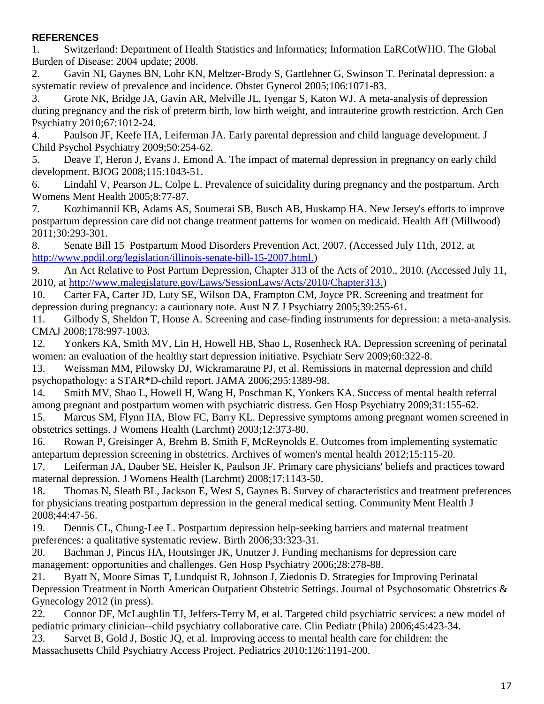# **REFERENCES**

<span id="page-16-0"></span>1. Switzerland: Department of Health Statistics and Informatics; Information EaRCotWHO. The Global Burden of Disease: 2004 update; 2008.

<span id="page-16-1"></span>2. Gavin NI, Gaynes BN, Lohr KN, Meltzer-Brody S, Gartlehner G, Swinson T. Perinatal depression: a systematic review of prevalence and incidence. Obstet Gynecol 2005;106:1071-83.

<span id="page-16-2"></span>3. Grote NK, Bridge JA, Gavin AR, Melville JL, Iyengar S, Katon WJ. A meta-analysis of depression during pregnancy and the risk of preterm birth, low birth weight, and intrauterine growth restriction. Arch Gen Psychiatry 2010;67:1012-24.

<span id="page-16-3"></span>4. Paulson JF, Keefe HA, Leiferman JA. Early parental depression and child language development. J Child Psychol Psychiatry 2009;50:254-62.

<span id="page-16-4"></span>5. Deave T, Heron J, Evans J, Emond A. The impact of maternal depression in pregnancy on early child development. BJOG 2008;115:1043-51.

<span id="page-16-5"></span>6. Lindahl V, Pearson JL, Colpe L. Prevalence of suicidality during pregnancy and the postpartum. Arch Womens Ment Health 2005;8:77-87.

<span id="page-16-6"></span>7. Kozhimannil KB, Adams AS, Soumerai SB, Busch AB, Huskamp HA. New Jersey's efforts to improve postpartum depression care did not change treatment patterns for women on medicaid. Health Aff (Millwood) 2011;30:293-301.

<span id="page-16-7"></span>8. Senate Bill 15 Postpartum Mood Disorders Prevention Act. 2007. (Accessed July 11th, 2012, at [http://www.ppdil.org/legislation/illinois-senate-bill-15-2007.html.\)](http://www.ppdil.org/legislation/illinois-senate-bill-15-2007.html.)

<span id="page-16-8"></span>9. An Act Relative to Post Partum Depression, Chapter 313 of the Acts of 2010., 2010. (Accessed July 11, 2010, at [http://www.malegislature.gov/Laws/SessionLaws/Acts/2010/Chapter313.\)](http://www.malegislature.gov/Laws/SessionLaws/Acts/2010/Chapter313.)

<span id="page-16-9"></span>10. Carter FA, Carter JD, Luty SE, Wilson DA, Frampton CM, Joyce PR. Screening and treatment for depression during pregnancy: a cautionary note. Aust N Z J Psychiatry 2005;39:255-61.

<span id="page-16-10"></span>11. Gilbody S, Sheldon T, House A. Screening and case-finding instruments for depression: a meta-analysis. CMAJ 2008;178:997-1003.

<span id="page-16-11"></span>12. Yonkers KA, Smith MV, Lin H, Howell HB, Shao L, Rosenheck RA. Depression screening of perinatal women: an evaluation of the healthy start depression initiative. Psychiatr Serv 2009;60:322-8.

<span id="page-16-12"></span>13. Weissman MM, Pilowsky DJ, Wickramaratne PJ, et al. Remissions in maternal depression and child psychopathology: a STAR\*D-child report. JAMA 2006;295:1389-98.

<span id="page-16-13"></span>14. Smith MV, Shao L, Howell H, Wang H, Poschman K, Yonkers KA. Success of mental health referral among pregnant and postpartum women with psychiatric distress. Gen Hosp Psychiatry 2009;31:155-62.

<span id="page-16-21"></span>15. Marcus SM, Flynn HA, Blow FC, Barry KL. Depressive symptoms among pregnant women screened in obstetrics settings. J Womens Health (Larchmt) 2003;12:373-80.

<span id="page-16-22"></span>16. Rowan P, Greisinger A, Brehm B, Smith F, McReynolds E. Outcomes from implementing systematic antepartum depression screening in obstetrics. Archives of women's mental health 2012;15:115-20.

<span id="page-16-14"></span>17. Leiferman JA, Dauber SE, Heisler K, Paulson JF. Primary care physicians' beliefs and practices toward maternal depression. J Womens Health (Larchmt) 2008;17:1143-50.

<span id="page-16-15"></span>18. Thomas N, Sleath BL, Jackson E, West S, Gaynes B. Survey of characteristics and treatment preferences for physicians treating postpartum depression in the general medical setting. Community Ment Health J 2008;44:47-56.

<span id="page-16-16"></span>19. Dennis CL, Chung-Lee L. Postpartum depression help-seeking barriers and maternal treatment preferences: a qualitative systematic review. Birth 2006;33:323-31.

<span id="page-16-17"></span>20. Bachman J, Pincus HA, Houtsinger JK, Unutzer J. Funding mechanisms for depression care management: opportunities and challenges. Gen Hosp Psychiatry 2006;28:278-88.

<span id="page-16-18"></span>21. Byatt N, Moore Simas T, Lundquist R, Johnson J, Ziedonis D. Strategies for Improving Perinatal Depression Treatment in North American Outpatient Obstetric Settings. Journal of Psychosomatic Obstetrics & Gynecology 2012 (in press).

<span id="page-16-19"></span>22. Connor DF, McLaughlin TJ, Jeffers-Terry M, et al. Targeted child psychiatric services: a new model of pediatric primary clinician--child psychiatry collaborative care. Clin Pediatr (Phila) 2006;45:423-34.

<span id="page-16-20"></span>23. Sarvet B, Gold J, Bostic JQ, et al. Improving access to mental health care for children: the Massachusetts Child Psychiatry Access Project. Pediatrics 2010;126:1191-200.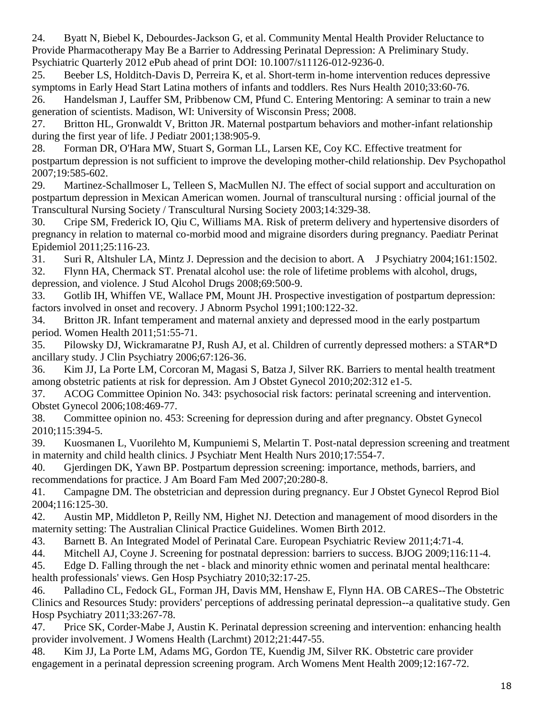<span id="page-17-0"></span>24. Byatt N, Biebel K, Debourdes-Jackson G, et al. Community Mental Health Provider Reluctance to Provide Pharmacotherapy May Be a Barrier to Addressing Perinatal Depression: A Preliminary Study. Psychiatric Quarterly 2012 ePub ahead of print DOI: 10.1007/s11126-012-9236-0.

<span id="page-17-1"></span>25. Beeber LS, Holditch-Davis D, Perreira K, et al. Short-term in-home intervention reduces depressive symptoms in Early Head Start Latina mothers of infants and toddlers. Res Nurs Health 2010;33:60-76. 26. Handelsman J, Lauffer SM, Pribbenow CM, Pfund C. Entering Mentoring: A seminar to train a new

<span id="page-17-2"></span>generation of scientists. Madison, WI: University of Wisconsin Press; 2008. 27. Britton HL, Gronwaldt V, Britton JR. Maternal postpartum behaviors and mother-infant relationship

<span id="page-17-3"></span>during the first year of life. J Pediatr 2001;138:905-9.

<span id="page-17-4"></span>28. Forman DR, O'Hara MW, Stuart S, Gorman LL, Larsen KE, Coy KC. Effective treatment for postpartum depression is not sufficient to improve the developing mother-child relationship. Dev Psychopathol 2007;19:585-602.

<span id="page-17-5"></span>29. Martinez-Schallmoser L, Telleen S, MacMullen NJ. The effect of social support and acculturation on postpartum depression in Mexican American women. Journal of transcultural nursing : official journal of the Transcultural Nursing Society / Transcultural Nursing Society 2003;14:329-38.

<span id="page-17-6"></span>30. Cripe SM, Frederick IO, Qiu C, Williams MA. Risk of preterm delivery and hypertensive disorders of pregnancy in relation to maternal co-morbid mood and migraine disorders during pregnancy. Paediatr Perinat Epidemiol 2011;25:116-23.

<span id="page-17-7"></span>31. Suri R, Altshuler LA, Mintz J. Depression and the decision to abort. A J Psychiatry 2004;161:1502.

<span id="page-17-8"></span>32. Flynn HA, Chermack ST. Prenatal alcohol use: the role of lifetime problems with alcohol, drugs, depression, and violence. J Stud Alcohol Drugs 2008;69:500-9.

<span id="page-17-9"></span>33. Gotlib IH, Whiffen VE, Wallace PM, Mount JH. Prospective investigation of postpartum depression: factors involved in onset and recovery. J Abnorm Psychol 1991;100:122-32.

<span id="page-17-10"></span>34. Britton JR. Infant temperament and maternal anxiety and depressed mood in the early postpartum period. Women Health 2011;51:55-71.

<span id="page-17-11"></span>35. Pilowsky DJ, Wickramaratne PJ, Rush AJ, et al. Children of currently depressed mothers: a STAR\*D ancillary study. J Clin Psychiatry 2006;67:126-36.

<span id="page-17-12"></span>36. Kim JJ, La Porte LM, Corcoran M, Magasi S, Batza J, Silver RK. Barriers to mental health treatment among obstetric patients at risk for depression. Am J Obstet Gynecol 2010;202:312 e1-5.

<span id="page-17-13"></span>37. ACOG Committee Opinion No. 343: psychosocial risk factors: perinatal screening and intervention. Obstet Gynecol 2006;108:469-77.

<span id="page-17-14"></span>38. Committee opinion no. 453: Screening for depression during and after pregnancy. Obstet Gynecol 2010;115:394-5.

<span id="page-17-15"></span>39. Kuosmanen L, Vuorilehto M, Kumpuniemi S, Melartin T. Post-natal depression screening and treatment in maternity and child health clinics. J Psychiatr Ment Health Nurs 2010;17:554-7.

<span id="page-17-17"></span>40. Gjerdingen DK, Yawn BP. Postpartum depression screening: importance, methods, barriers, and recommendations for practice. J Am Board Fam Med 2007;20:280-8.

41. Campagne DM. The obstetrician and depression during pregnancy. Eur J Obstet Gynecol Reprod Biol 2004;116:125-30.

42. Austin MP, Middleton P, Reilly NM, Highet NJ. Detection and management of mood disorders in the maternity setting: The Australian Clinical Practice Guidelines. Women Birth 2012.

43. Barnett B. An Integrated Model of Perinatal Care. European Psychiatric Review 2011;4:71-4.

<span id="page-17-16"></span>44. Mitchell AJ, Coyne J. Screening for postnatal depression: barriers to success. BJOG 2009;116:11-4.

<span id="page-17-18"></span>45. Edge D. Falling through the net - black and minority ethnic women and perinatal mental healthcare: health professionals' views. Gen Hosp Psychiatry 2010;32:17-25.

<span id="page-17-19"></span>46. Palladino CL, Fedock GL, Forman JH, Davis MM, Henshaw E, Flynn HA. OB CARES--The Obstetric Clinics and Resources Study: providers' perceptions of addressing perinatal depression--a qualitative study. Gen Hosp Psychiatry 2011;33:267-78.

47. Price SK, Corder-Mabe J, Austin K. Perinatal depression screening and intervention: enhancing health provider involvement. J Womens Health (Larchmt) 2012;21:447-55.

48. Kim JJ, La Porte LM, Adams MG, Gordon TE, Kuendig JM, Silver RK. Obstetric care provider engagement in a perinatal depression screening program. Arch Womens Ment Health 2009;12:167-72.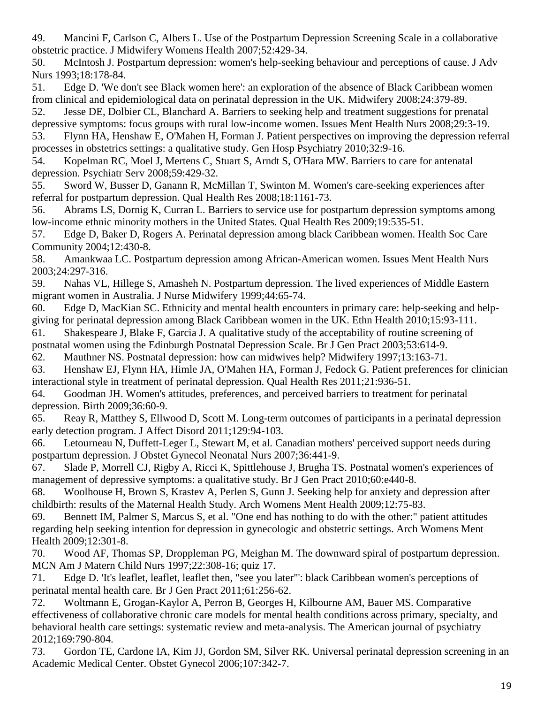49. Mancini F, Carlson C, Albers L. Use of the Postpartum Depression Screening Scale in a collaborative obstetric practice. J Midwifery Womens Health 2007;52:429-34.

<span id="page-18-0"></span>50. McIntosh J. Postpartum depression: women's help-seeking behaviour and perceptions of cause. J Adv Nurs 1993;18:178-84.

51. Edge D. 'We don't see Black women here': an exploration of the absence of Black Caribbean women from clinical and epidemiological data on perinatal depression in the UK. Midwifery 2008;24:379-89.

52. Jesse DE, Dolbier CL, Blanchard A. Barriers to seeking help and treatment suggestions for prenatal depressive symptoms: focus groups with rural low-income women. Issues Ment Health Nurs 2008;29:3-19.

<span id="page-18-1"></span>53. Flynn HA, Henshaw E, O'Mahen H, Forman J. Patient perspectives on improving the depression referral processes in obstetrics settings: a qualitative study. Gen Hosp Psychiatry 2010;32:9-16.

54. Kopelman RC, Moel J, Mertens C, Stuart S, Arndt S, O'Hara MW. Barriers to care for antenatal depression. Psychiatr Serv 2008;59:429-32.

<span id="page-18-2"></span>55. Sword W, Busser D, Ganann R, McMillan T, Swinton M. Women's care-seeking experiences after referral for postpartum depression. Qual Health Res 2008;18:1161-73.

56. Abrams LS, Dornig K, Curran L. Barriers to service use for postpartum depression symptoms among low-income ethnic minority mothers in the United States. Qual Health Res 2009;19:535-51.

57. Edge D, Baker D, Rogers A. Perinatal depression among black Caribbean women. Health Soc Care Community 2004;12:430-8.

58. Amankwaa LC. Postpartum depression among African-American women. Issues Ment Health Nurs 2003;24:297-316.

59. Nahas VL, Hillege S, Amasheh N. Postpartum depression. The lived experiences of Middle Eastern migrant women in Australia. J Nurse Midwifery 1999;44:65-74.

60. Edge D, MacKian SC. Ethnicity and mental health encounters in primary care: help-seeking and helpgiving for perinatal depression among Black Caribbean women in the UK. Ethn Health 2010;15:93-111.

61. Shakespeare J, Blake F, Garcia J. A qualitative study of the acceptability of routine screening of

postnatal women using the Edinburgh Postnatal Depression Scale. Br J Gen Pract 2003;53:614-9.

<span id="page-18-3"></span>62. Mauthner NS. Postnatal depression: how can midwives help? Midwifery 1997;13:163-71.

<span id="page-18-4"></span>63. Henshaw EJ, Flynn HA, Himle JA, O'Mahen HA, Forman J, Fedock G. Patient preferences for clinician interactional style in treatment of perinatal depression. Qual Health Res 2011;21:936-51.

64. Goodman JH. Women's attitudes, preferences, and perceived barriers to treatment for perinatal depression. Birth 2009;36:60-9.

65. Reay R, Matthey S, Ellwood D, Scott M. Long-term outcomes of participants in a perinatal depression early detection program. J Affect Disord 2011;129:94-103.

<span id="page-18-5"></span>66. Letourneau N, Duffett-Leger L, Stewart M, et al. Canadian mothers' perceived support needs during postpartum depression. J Obstet Gynecol Neonatal Nurs 2007;36:441-9.

67. Slade P, Morrell CJ, Rigby A, Ricci K, Spittlehouse J, Brugha TS. Postnatal women's experiences of management of depressive symptoms: a qualitative study. Br J Gen Pract 2010;60:e440-8.

68. Woolhouse H, Brown S, Krastev A, Perlen S, Gunn J. Seeking help for anxiety and depression after childbirth: results of the Maternal Health Study. Arch Womens Ment Health 2009;12:75-83.

<span id="page-18-6"></span>69. Bennett IM, Palmer S, Marcus S, et al. "One end has nothing to do with the other:" patient attitudes regarding help seeking intention for depression in gynecologic and obstetric settings. Arch Womens Ment Health 2009;12:301-8.

<span id="page-18-7"></span>70. Wood AF, Thomas SP, Droppleman PG, Meighan M. The downward spiral of postpartum depression. MCN Am J Matern Child Nurs 1997;22:308-16; quiz 17.

71. Edge D. 'It's leaflet, leaflet, leaflet then, "see you later"': black Caribbean women's perceptions of perinatal mental health care. Br J Gen Pract 2011;61:256-62.

<span id="page-18-8"></span>72. Woltmann E, Grogan-Kaylor A, Perron B, Georges H, Kilbourne AM, Bauer MS. Comparative effectiveness of collaborative chronic care models for mental health conditions across primary, specialty, and behavioral health care settings: systematic review and meta-analysis. The American journal of psychiatry 2012;169:790-804.

<span id="page-18-9"></span>73. Gordon TE, Cardone IA, Kim JJ, Gordon SM, Silver RK. Universal perinatal depression screening in an Academic Medical Center. Obstet Gynecol 2006;107:342-7.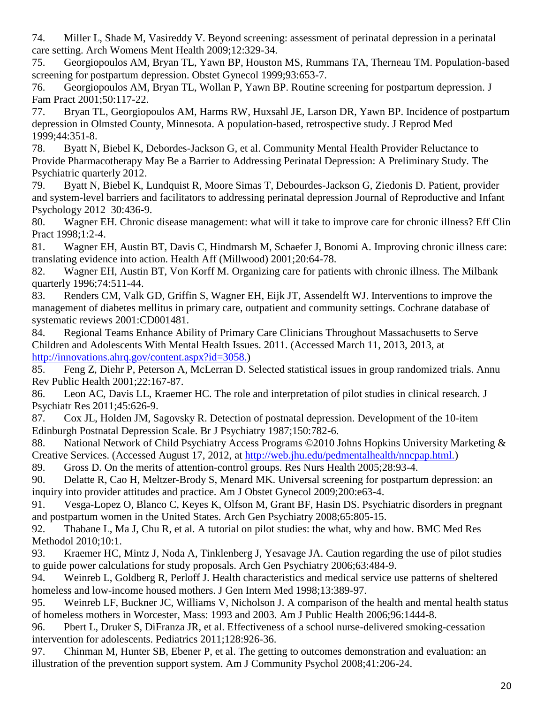<span id="page-19-0"></span>74. Miller L, Shade M, Vasireddy V. Beyond screening: assessment of perinatal depression in a perinatal care setting. Arch Womens Ment Health 2009;12:329-34.

<span id="page-19-1"></span>75. Georgiopoulos AM, Bryan TL, Yawn BP, Houston MS, Rummans TA, Therneau TM. Population-based screening for postpartum depression. Obstet Gynecol 1999;93:653-7.

76. Georgiopoulos AM, Bryan TL, Wollan P, Yawn BP. Routine screening for postpartum depression. J Fam Pract 2001;50:117-22.

77. Bryan TL, Georgiopoulos AM, Harms RW, Huxsahl JE, Larson DR, Yawn BP. Incidence of postpartum depression in Olmsted County, Minnesota. A population-based, retrospective study. J Reprod Med 1999;44:351-8.

<span id="page-19-2"></span>78. Byatt N, Biebel K, Debordes-Jackson G, et al. Community Mental Health Provider Reluctance to Provide Pharmacotherapy May Be a Barrier to Addressing Perinatal Depression: A Preliminary Study. The Psychiatric quarterly 2012.

<span id="page-19-3"></span>79. Byatt N, Biebel K, Lundquist R, Moore Simas T, Debourdes-Jackson G, Ziedonis D. Patient, provider and system-level barriers and facilitators to addressing perinatal depression Journal of Reproductive and Infant Psychology 2012 30:436-9.

<span id="page-19-4"></span>80. Wagner EH. Chronic disease management: what will it take to improve care for chronic illness? Eff Clin Pract 1998;1:2-4.

<span id="page-19-5"></span>81. Wagner EH, Austin BT, Davis C, Hindmarsh M, Schaefer J, Bonomi A. Improving chronic illness care: translating evidence into action. Health Aff (Millwood) 2001;20:64-78.

<span id="page-19-6"></span>82. Wagner EH, Austin BT, Von Korff M. Organizing care for patients with chronic illness. The Milbank quarterly 1996;74:511-44.

<span id="page-19-7"></span>83. Renders CM, Valk GD, Griffin S, Wagner EH, Eijk JT, Assendelft WJ. Interventions to improve the management of diabetes mellitus in primary care, outpatient and community settings. Cochrane database of systematic reviews 2001:CD001481.

<span id="page-19-8"></span>84. Regional Teams Enhance Ability of Primary Care Clinicians Throughout Massachusetts to Serve Children and Adolescents With Mental Health Issues. 2011. (Accessed March 11, 2013, 2013, at [http://innovations.ahrq.gov/content.aspx?id=3058.\)](http://innovations.ahrq.gov/content.aspx?id=3058.)

<span id="page-19-9"></span>85. Feng Z, Diehr P, Peterson A, McLerran D. Selected statistical issues in group randomized trials. Annu Rev Public Health 2001;22:167-87.

<span id="page-19-10"></span>86. Leon AC, Davis LL, Kraemer HC. The role and interpretation of pilot studies in clinical research. J Psychiatr Res 2011;45:626-9.

<span id="page-19-11"></span>87. Cox JL, Holden JM, Sagovsky R. Detection of postnatal depression. Development of the 10-item Edinburgh Postnatal Depression Scale. Br J Psychiatry 1987;150:782-6.

<span id="page-19-12"></span>88. National Network of Child Psychiatry Access Programs ©2010 Johns Hopkins University Marketing & Creative Services. (Accessed August 17, 2012, at [http://web.jhu.edu/pedmentalhealth/nncpap.html.\)](http://web.jhu.edu/pedmentalhealth/nncpap.html.)

<span id="page-19-13"></span>89. Gross D. On the merits of attention-control groups. Res Nurs Health 2005;28:93-4.

<span id="page-19-14"></span>90. Delatte R, Cao H, Meltzer-Brody S, Menard MK. Universal screening for postpartum depression: an inquiry into provider attitudes and practice. Am J Obstet Gynecol 2009;200:e63-4.

<span id="page-19-15"></span>91. Vesga-Lopez O, Blanco C, Keyes K, Olfson M, Grant BF, Hasin DS. Psychiatric disorders in pregnant and postpartum women in the United States. Arch Gen Psychiatry 2008;65:805-15.

<span id="page-19-16"></span>92. Thabane L, Ma J, Chu R, et al. A tutorial on pilot studies: the what, why and how. BMC Med Res Methodol 2010;10:1.

<span id="page-19-17"></span>93. Kraemer HC, Mintz J, Noda A, Tinklenberg J, Yesavage JA. Caution regarding the use of pilot studies to guide power calculations for study proposals. Arch Gen Psychiatry 2006;63:484-9.

<span id="page-19-18"></span>94. Weinreb L, Goldberg R, Perloff J. Health characteristics and medical service use patterns of sheltered homeless and low-income housed mothers. J Gen Intern Med 1998;13:389-97.

95. Weinreb LF, Buckner JC, Williams V, Nicholson J. A comparison of the health and mental health status of homeless mothers in Worcester, Mass: 1993 and 2003. Am J Public Health 2006;96:1444-8.

96. Pbert L, Druker S, DiFranza JR, et al. Effectiveness of a school nurse-delivered smoking-cessation intervention for adolescents. Pediatrics 2011;128:926-36.

<span id="page-19-19"></span>97. Chinman M, Hunter SB, Ebener P, et al. The getting to outcomes demonstration and evaluation: an illustration of the prevention support system. Am J Community Psychol 2008;41:206-24.